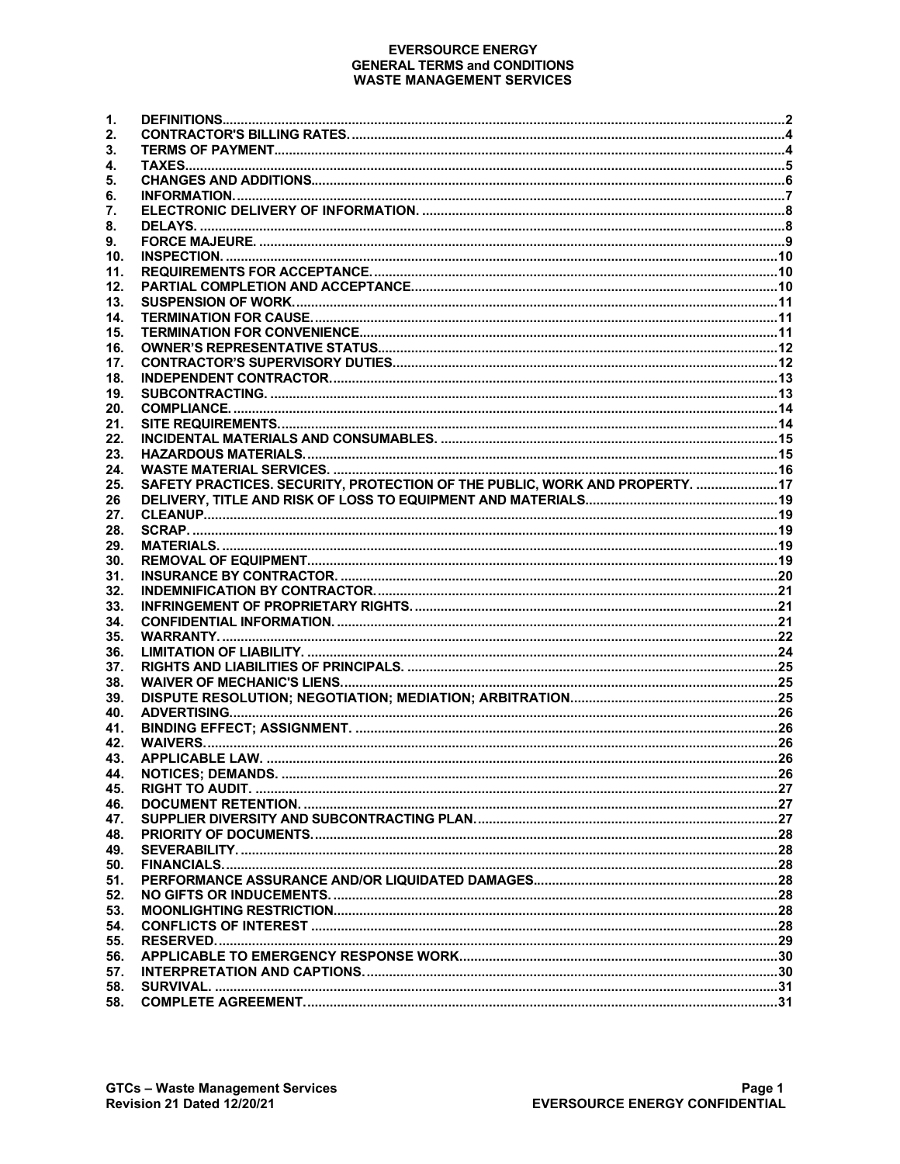#### **EVERSOURCE ENERGY GENERAL TERMS and CONDITIONS WASTE MANAGEMENT SERVICES**

| 1.  |                                                                              |  |
|-----|------------------------------------------------------------------------------|--|
| 2.  |                                                                              |  |
| 3.  |                                                                              |  |
| 4.  |                                                                              |  |
| 5.  |                                                                              |  |
|     |                                                                              |  |
| 6.  |                                                                              |  |
| 7.  |                                                                              |  |
| 8.  |                                                                              |  |
| 9.  |                                                                              |  |
| 10. |                                                                              |  |
| 11. |                                                                              |  |
| 12. |                                                                              |  |
| 13. |                                                                              |  |
| 14. |                                                                              |  |
| 15. |                                                                              |  |
|     |                                                                              |  |
| 16. |                                                                              |  |
| 17. |                                                                              |  |
| 18. |                                                                              |  |
| 19. |                                                                              |  |
| 20. |                                                                              |  |
| 21. |                                                                              |  |
| 22. |                                                                              |  |
| 23. |                                                                              |  |
|     |                                                                              |  |
| 24. |                                                                              |  |
| 25. | SAFETY PRACTICES. SECURITY, PROTECTION OF THE PUBLIC, WORK AND PROPERTY.  17 |  |
| 26  |                                                                              |  |
| 27. |                                                                              |  |
| 28. |                                                                              |  |
| 29. |                                                                              |  |
| 30. |                                                                              |  |
| 31. |                                                                              |  |
| 32. |                                                                              |  |
|     |                                                                              |  |
| 33. |                                                                              |  |
| 34. |                                                                              |  |
| 35. |                                                                              |  |
| 36. |                                                                              |  |
| 37. |                                                                              |  |
| 38. |                                                                              |  |
| 39. |                                                                              |  |
| 40. |                                                                              |  |
| 41. |                                                                              |  |
| 42. |                                                                              |  |
|     |                                                                              |  |
| 43. |                                                                              |  |
| 44. |                                                                              |  |
| 45. |                                                                              |  |
| 46. |                                                                              |  |
| 47. |                                                                              |  |
| 48. |                                                                              |  |
| 49. |                                                                              |  |
| 50. |                                                                              |  |
| 51. |                                                                              |  |
|     |                                                                              |  |
| 52. |                                                                              |  |
| 53. |                                                                              |  |
| 54. |                                                                              |  |
| 55. |                                                                              |  |
| 56. |                                                                              |  |
| 57. |                                                                              |  |
| 58. |                                                                              |  |
| 58. |                                                                              |  |
|     |                                                                              |  |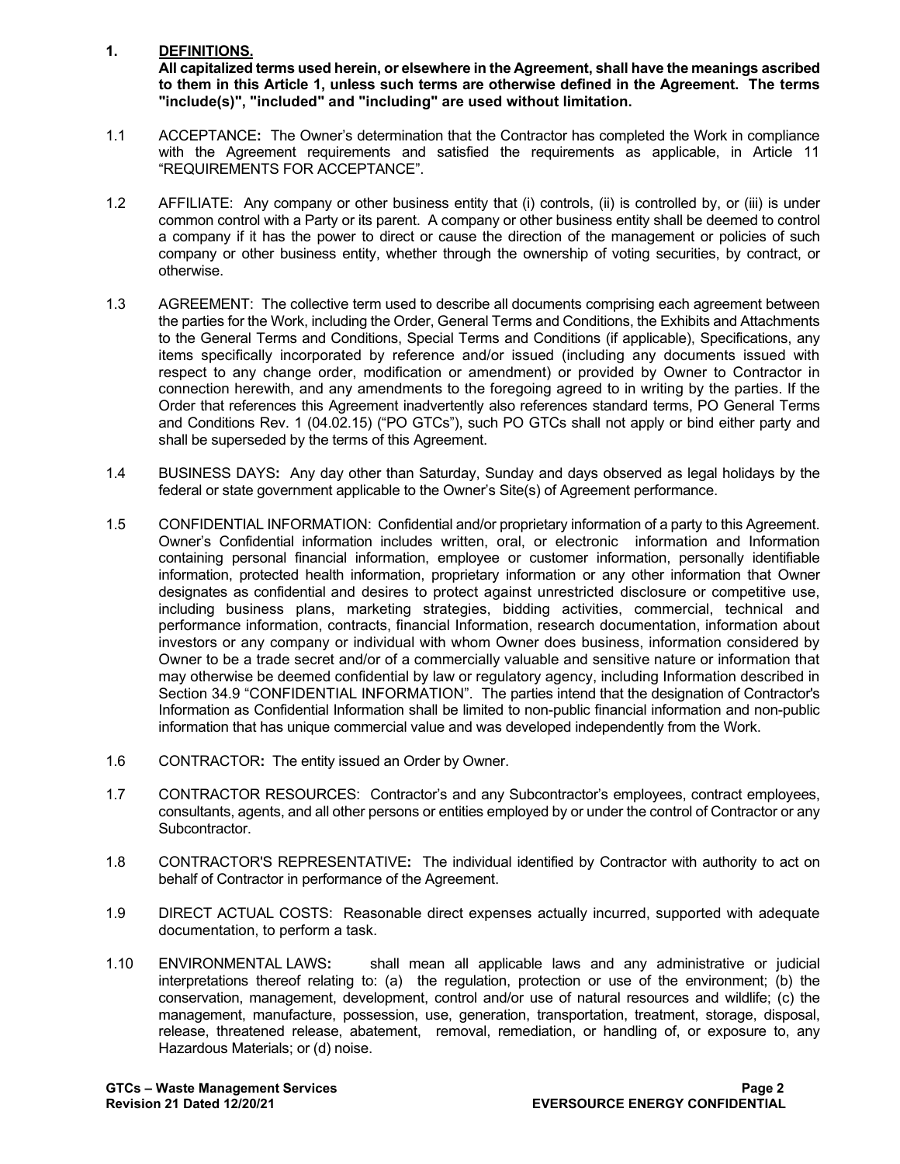## **1. DEFINITIONS.**

**All capitalized terms used herein, or elsewhere in the Agreement, shall have the meanings ascribed to them in this Article 1, unless such terms are otherwise defined in the Agreement. The terms "include(s)", "included" and "including" are used without limitation.**

- 1.1 ACCEPTANCE**:** The Owner's determination that the Contractor has completed the Work in compliance with the Agreement requirements and satisfied the requirements as applicable, in Article 11 "REQUIREMENTS FOR ACCEPTANCE".
- 1.2 AFFILIATE: Any company or other business entity that (i) controls, (ii) is controlled by, or (iii) is under common control with a Party or its parent. A company or other business entity shall be deemed to control a company if it has the power to direct or cause the direction of the management or policies of such company or other business entity, whether through the ownership of voting securities, by contract, or otherwise.
- 1.3 AGREEMENT: The collective term used to describe all documents comprising each agreement between the parties for the Work, including the Order, General Terms and Conditions, the Exhibits and Attachments to the General Terms and Conditions, Special Terms and Conditions (if applicable), Specifications, any items specifically incorporated by reference and/or issued (including any documents issued with respect to any change order, modification or amendment) or provided by Owner to Contractor in connection herewith, and any amendments to the foregoing agreed to in writing by the parties. If the Order that references this Agreement inadvertently also references standard terms, PO General Terms and Conditions Rev. 1 (04.02.15) ("PO GTCs"), such PO GTCs shall not apply or bind either party and shall be superseded by the terms of this Agreement.
- 1.4 BUSINESS DAYS**:** Any day other than Saturday, Sunday and days observed as legal holidays by the federal or state government applicable to the Owner's Site(s) of Agreement performance.
- 1.5 CONFIDENTIAL INFORMATION: Confidential and/or proprietary information of a party to this Agreement. Owner's Confidential information includes written, oral, or electronic information and Information containing personal financial information, employee or customer information, personally identifiable information, protected health information, proprietary information or any other information that Owner designates as confidential and desires to protect against unrestricted disclosure or competitive use, including business plans, marketing strategies, bidding activities, commercial, technical and performance information, contracts, financial Information, research documentation, information about investors or any company or individual with whom Owner does business, information considered by Owner to be a trade secret and/or of a commercially valuable and sensitive nature or information that may otherwise be deemed confidential by law or regulatory agency, including Information described in Section 34.9 "CONFIDENTIAL INFORMATION". The parties intend that the designation of Contractor's Information as Confidential Information shall be limited to non-public financial information and non-public information that has unique commercial value and was developed independently from the Work.
- 1.6 CONTRACTOR**:** The entity issued an Order by Owner.
- 1.7 CONTRACTOR RESOURCES: Contractor's and any Subcontractor's employees, contract employees, consultants, agents, and all other persons or entities employed by or under the control of Contractor or any Subcontractor.
- 1.8 CONTRACTOR'S REPRESENTATIVE**:** The individual identified by Contractor with authority to act on behalf of Contractor in performance of the Agreement.
- 1.9 DIRECT ACTUAL COSTS: Reasonable direct expenses actually incurred, supported with adequate documentation, to perform a task.
- 1.10 ENVIRONMENTAL LAWS**:** shall mean all applicable laws and any administrative or judicial interpretations thereof relating to: (a) the regulation, protection or use of the environment; (b) the conservation, management, development, control and/or use of natural resources and wildlife; (c) the management, manufacture, possession, use, generation, transportation, treatment, storage, disposal, release, threatened release, abatement, removal, remediation, or handling of, or exposure to, any Hazardous Materials; or (d) noise.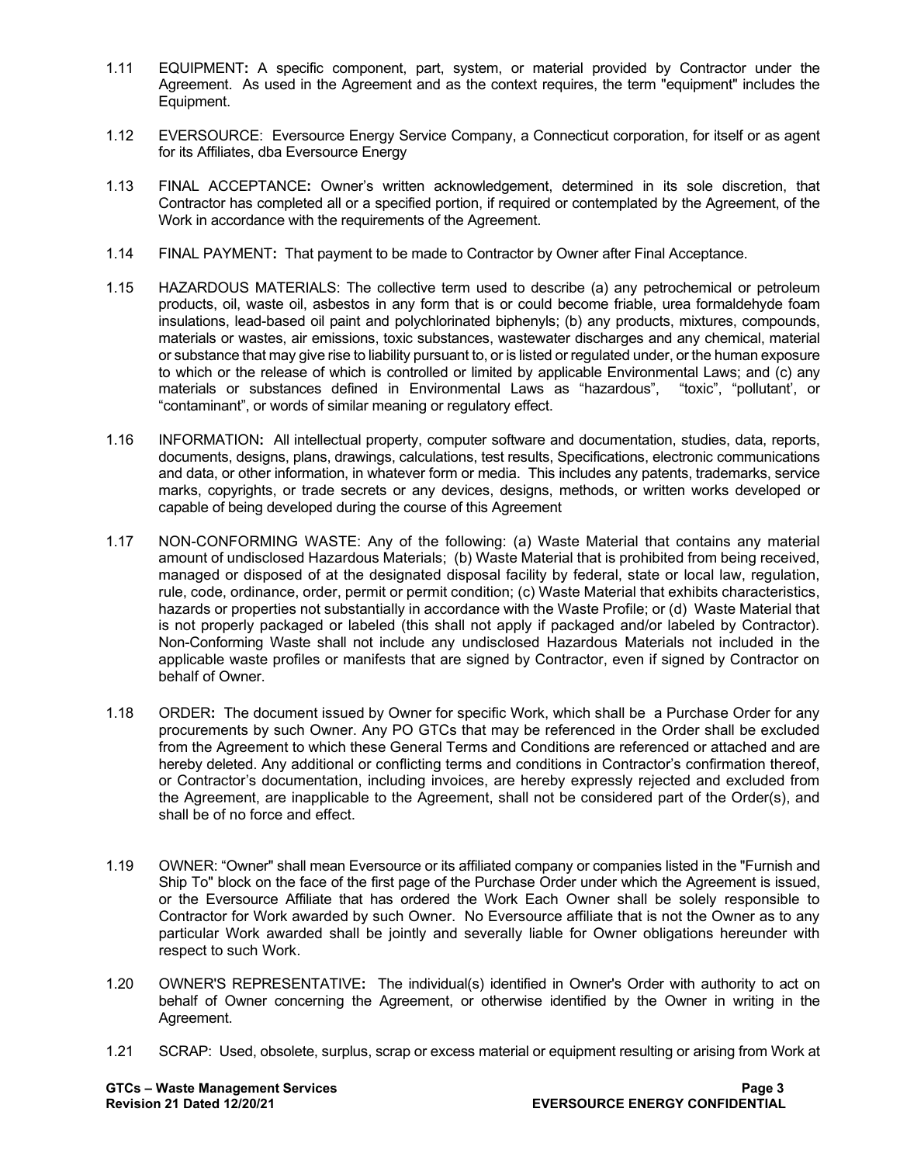- 1.11 EQUIPMENT**:** A specific component, part, system, or material provided by Contractor under the Agreement. As used in the Agreement and as the context requires, the term "equipment" includes the Equipment.
- 1.12 EVERSOURCE: Eversource Energy Service Company, a Connecticut corporation, for itself or as agent for its Affiliates, dba Eversource Energy
- 1.13 FINAL ACCEPTANCE**:** Owner's written acknowledgement, determined in its sole discretion, that Contractor has completed all or a specified portion, if required or contemplated by the Agreement, of the Work in accordance with the requirements of the Agreement.
- 1.14 FINAL PAYMENT**:** That payment to be made to Contractor by Owner after Final Acceptance.
- 1.15 HAZARDOUS MATERIALS: The collective term used to describe (a) any petrochemical or petroleum products, oil, waste oil, asbestos in any form that is or could become friable, urea formaldehyde foam insulations, lead-based oil paint and polychlorinated biphenyls; (b) any products, mixtures, compounds, materials or wastes, air emissions, toxic substances, wastewater discharges and any chemical, material or substance that may give rise to liability pursuant to, or is listed or regulated under, or the human exposure to which or the release of which is controlled or limited by applicable Environmental Laws; and (c) any materials or substances defined in Environmental Laws as "hazardous", "toxic", "pollutant', or "contaminant", or words of similar meaning or regulatory effect.
- 1.16 INFORMATION**:** All intellectual property, computer software and documentation, studies, data, reports, documents, designs, plans, drawings, calculations, test results, Specifications, electronic communications and data, or other information, in whatever form or media. This includes any patents, trademarks, service marks, copyrights, or trade secrets or any devices, designs, methods, or written works developed or capable of being developed during the course of this Agreement
- 1.17 NON-CONFORMING WASTE: Any of the following: (a) Waste Material that contains any material amount of undisclosed Hazardous Materials; (b) Waste Material that is prohibited from being received, managed or disposed of at the designated disposal facility by federal, state or local law, regulation, rule, code, ordinance, order, permit or permit condition; (c) Waste Material that exhibits characteristics, hazards or properties not substantially in accordance with the Waste Profile; or (d) Waste Material that is not properly packaged or labeled (this shall not apply if packaged and/or labeled by Contractor). Non-Conforming Waste shall not include any undisclosed Hazardous Materials not included in the applicable waste profiles or manifests that are signed by Contractor, even if signed by Contractor on behalf of Owner.
- 1.18 ORDER**:** The document issued by Owner for specific Work, which shall be a Purchase Order for any procurements by such Owner. Any PO GTCs that may be referenced in the Order shall be excluded from the Agreement to which these General Terms and Conditions are referenced or attached and are hereby deleted. Any additional or conflicting terms and conditions in Contractor's confirmation thereof, or Contractor's documentation, including invoices, are hereby expressly rejected and excluded from the Agreement, are inapplicable to the Agreement, shall not be considered part of the Order(s), and shall be of no force and effect.
- 1.19 OWNER: "Owner" shall mean Eversource or its affiliated company or companies listed in the "Furnish and Ship To" block on the face of the first page of the Purchase Order under which the Agreement is issued, or the Eversource Affiliate that has ordered the Work Each Owner shall be solely responsible to Contractor for Work awarded by such Owner. No Eversource affiliate that is not the Owner as to any particular Work awarded shall be jointly and severally liable for Owner obligations hereunder with respect to such Work.
- 1.20 OWNER'S REPRESENTATIVE**:** The individual(s) identified in Owner's Order with authority to act on behalf of Owner concerning the Agreement, or otherwise identified by the Owner in writing in the Agreement.
- 1.21 SCRAP: Used, obsolete, surplus, scrap or excess material or equipment resulting or arising from Work at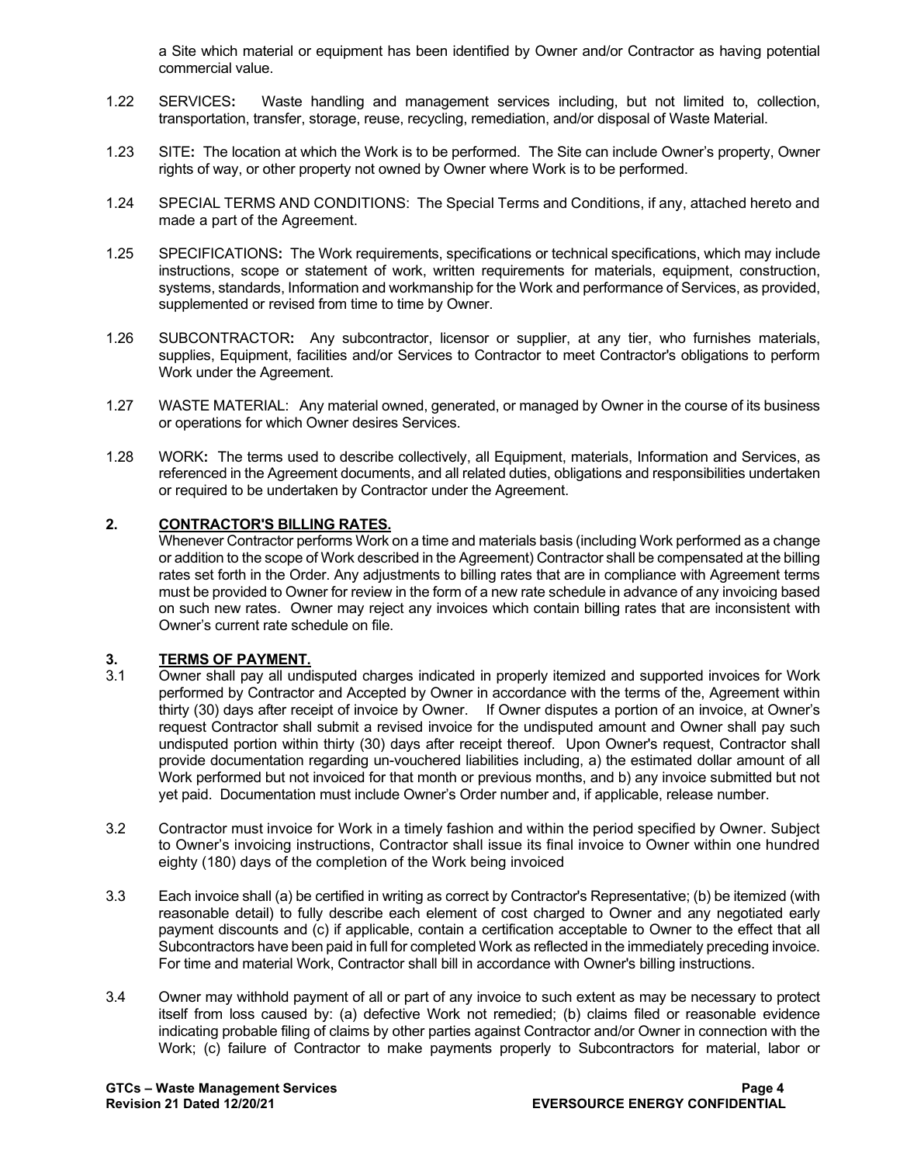a Site which material or equipment has been identified by Owner and/or Contractor as having potential commercial value.

- 1.22 SERVICES**:** Waste handling and management services including, but not limited to, collection, transportation, transfer, storage, reuse, recycling, remediation, and/or disposal of Waste Material.
- 1.23 SITE**:** The location at which the Work is to be performed. The Site can include Owner's property, Owner rights of way, or other property not owned by Owner where Work is to be performed.
- 1.24 SPECIAL TERMS AND CONDITIONS: The Special Terms and Conditions, if any, attached hereto and made a part of the Agreement.
- 1.25 SPECIFICATIONS**:** The Work requirements, specifications or technical specifications, which may include instructions, scope or statement of work, written requirements for materials, equipment, construction, systems, standards, Information and workmanship for the Work and performance of Services, as provided, supplemented or revised from time to time by Owner.
- 1.26 SUBCONTRACTOR**:** Any subcontractor, licensor or supplier, at any tier, who furnishes materials, supplies, Equipment, facilities and/or Services to Contractor to meet Contractor's obligations to perform Work under the Agreement.
- 1.27 WASTE MATERIAL: Any material owned, generated, or managed by Owner in the course of its business or operations for which Owner desires Services.
- 1.28 WORK**:** The terms used to describe collectively, all Equipment, materials, Information and Services, as referenced in the Agreement documents, and all related duties, obligations and responsibilities undertaken or required to be undertaken by Contractor under the Agreement.

#### **2. CONTRACTOR'S BILLING RATES.**

Whenever Contractor performs Work on a time and materials basis (including Work performed as a change or addition to the scope of Work described in the Agreement) Contractor shall be compensated at the billing rates set forth in the Order. Any adjustments to billing rates that are in compliance with Agreement terms must be provided to Owner for review in the form of a new rate schedule in advance of any invoicing based on such new rates. Owner may reject any invoices which contain billing rates that are inconsistent with Owner's current rate schedule on file.

## **3.1 COMPAYMENT.**<br>**3.1 Owner shall pay all undi-**

- Owner shall pay all undisputed charges indicated in properly itemized and supported invoices for Work performed by Contractor and Accepted by Owner in accordance with the terms of the, Agreement within thirty (30) days after receipt of invoice by Owner. If Owner disputes a portion of an invoice, at Owner's request Contractor shall submit a revised invoice for the undisputed amount and Owner shall pay such undisputed portion within thirty (30) days after receipt thereof. Upon Owner's request, Contractor shall provide documentation regarding un-vouchered liabilities including, a) the estimated dollar amount of all Work performed but not invoiced for that month or previous months, and b) any invoice submitted but not yet paid. Documentation must include Owner's Order number and, if applicable, release number.
- 3.2 Contractor must invoice for Work in a timely fashion and within the period specified by Owner. Subject to Owner's invoicing instructions, Contractor shall issue its final invoice to Owner within one hundred eighty (180) days of the completion of the Work being invoiced
- 3.3 Each invoice shall (a) be certified in writing as correct by Contractor's Representative; (b) be itemized (with reasonable detail) to fully describe each element of cost charged to Owner and any negotiated early payment discounts and (c) if applicable, contain a certification acceptable to Owner to the effect that all Subcontractors have been paid in full for completed Work as reflected in the immediately preceding invoice. For time and material Work, Contractor shall bill in accordance with Owner's billing instructions.
- 3.4 Owner may withhold payment of all or part of any invoice to such extent as may be necessary to protect itself from loss caused by: (a) defective Work not remedied; (b) claims filed or reasonable evidence indicating probable filing of claims by other parties against Contractor and/or Owner in connection with the Work; (c) failure of Contractor to make payments properly to Subcontractors for material, labor or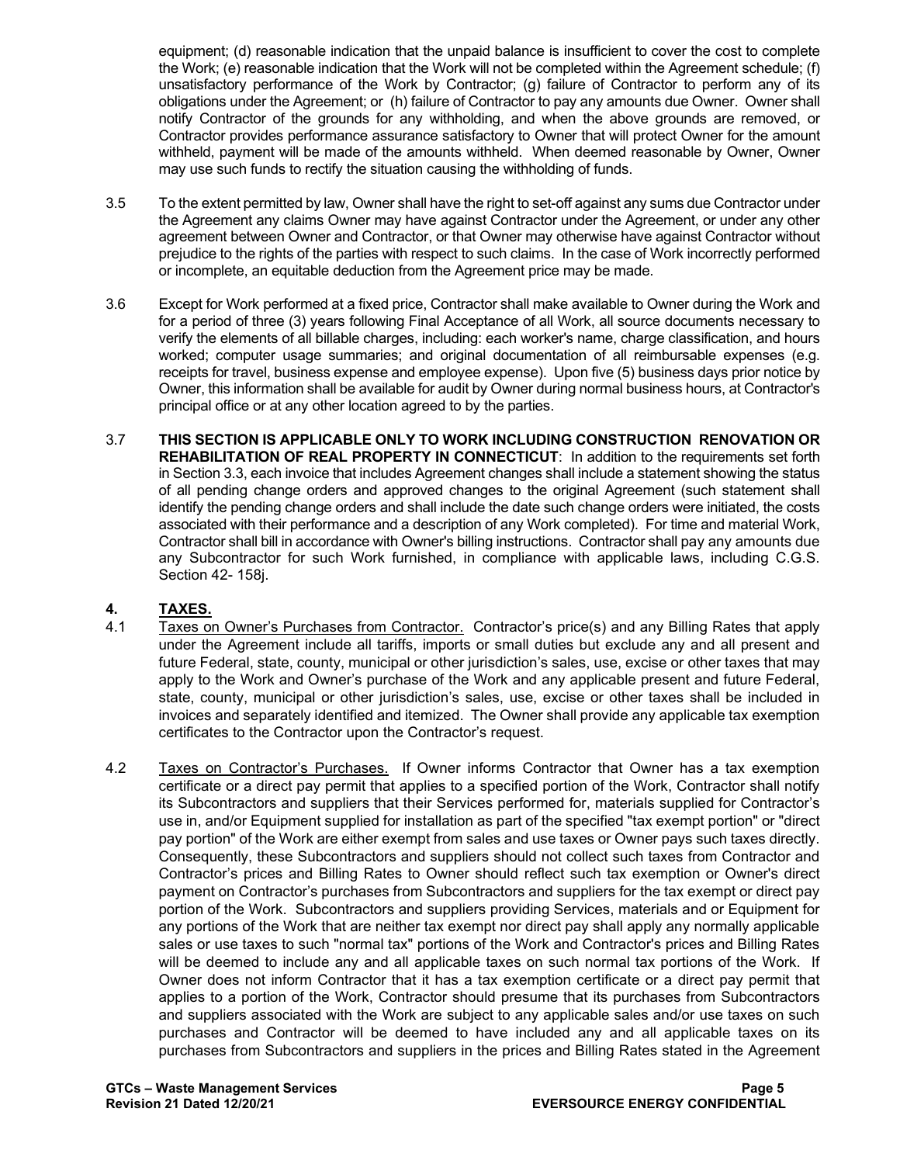equipment; (d) reasonable indication that the unpaid balance is insufficient to cover the cost to complete the Work; (e) reasonable indication that the Work will not be completed within the Agreement schedule; (f) unsatisfactory performance of the Work by Contractor; (g) failure of Contractor to perform any of its obligations under the Agreement; or (h) failure of Contractor to pay any amounts due Owner. Owner shall notify Contractor of the grounds for any withholding, and when the above grounds are removed, or Contractor provides performance assurance satisfactory to Owner that will protect Owner for the amount withheld, payment will be made of the amounts withheld. When deemed reasonable by Owner, Owner may use such funds to rectify the situation causing the withholding of funds.

- 3.5 To the extent permitted by law, Owner shall have the right to set-off against any sums due Contractor under the Agreement any claims Owner may have against Contractor under the Agreement, or under any other agreement between Owner and Contractor, or that Owner may otherwise have against Contractor without prejudice to the rights of the parties with respect to such claims. In the case of Work incorrectly performed or incomplete, an equitable deduction from the Agreement price may be made.
- 3.6 Except for Work performed at a fixed price, Contractor shall make available to Owner during the Work and for a period of three (3) years following Final Acceptance of all Work, all source documents necessary to verify the elements of all billable charges, including: each worker's name, charge classification, and hours worked; computer usage summaries; and original documentation of all reimbursable expenses (e.g. receipts for travel, business expense and employee expense). Upon five (5) business days prior notice by Owner, this information shall be available for audit by Owner during normal business hours, at Contractor's principal office or at any other location agreed to by the parties.
- 3.7 **THIS SECTION IS APPLICABLE ONLY TO WORK INCLUDING CONSTRUCTION RENOVATION OR REHABILITATION OF REAL PROPERTY IN CONNECTICUT**: In addition to the requirements set forth in Section 3.3, each invoice that includes Agreement changes shall include a statement showing the status of all pending change orders and approved changes to the original Agreement (such statement shall identify the pending change orders and shall include the date such change orders were initiated, the costs associated with their performance and a description of any Work completed). For time and material Work, Contractor shall bill in accordance with Owner's billing instructions. Contractor shall pay any amounts due any Subcontractor for such Work furnished, in compliance with applicable laws, including C.G.S. Section 42- 158j.

# **4. TAXES.**

- Taxes on Owner's Purchases from Contractor. Contractor's price(s) and any Billing Rates that apply under the Agreement include all tariffs, imports or small duties but exclude any and all present and future Federal, state, county, municipal or other jurisdiction's sales, use, excise or other taxes that may apply to the Work and Owner's purchase of the Work and any applicable present and future Federal, state, county, municipal or other jurisdiction's sales, use, excise or other taxes shall be included in invoices and separately identified and itemized. The Owner shall provide any applicable tax exemption certificates to the Contractor upon the Contractor's request.
- 4.2 Taxes on Contractor's Purchases. If Owner informs Contractor that Owner has a tax exemption certificate or a direct pay permit that applies to a specified portion of the Work, Contractor shall notify its Subcontractors and suppliers that their Services performed for, materials supplied for Contractor's use in, and/or Equipment supplied for installation as part of the specified "tax exempt portion" or "direct pay portion" of the Work are either exempt from sales and use taxes or Owner pays such taxes directly. Consequently, these Subcontractors and suppliers should not collect such taxes from Contractor and Contractor's prices and Billing Rates to Owner should reflect such tax exemption or Owner's direct payment on Contractor's purchases from Subcontractors and suppliers for the tax exempt or direct pay portion of the Work. Subcontractors and suppliers providing Services, materials and or Equipment for any portions of the Work that are neither tax exempt nor direct pay shall apply any normally applicable sales or use taxes to such "normal tax" portions of the Work and Contractor's prices and Billing Rates will be deemed to include any and all applicable taxes on such normal tax portions of the Work. If Owner does not inform Contractor that it has a tax exemption certificate or a direct pay permit that applies to a portion of the Work, Contractor should presume that its purchases from Subcontractors and suppliers associated with the Work are subject to any applicable sales and/or use taxes on such purchases and Contractor will be deemed to have included any and all applicable taxes on its purchases from Subcontractors and suppliers in the prices and Billing Rates stated in the Agreement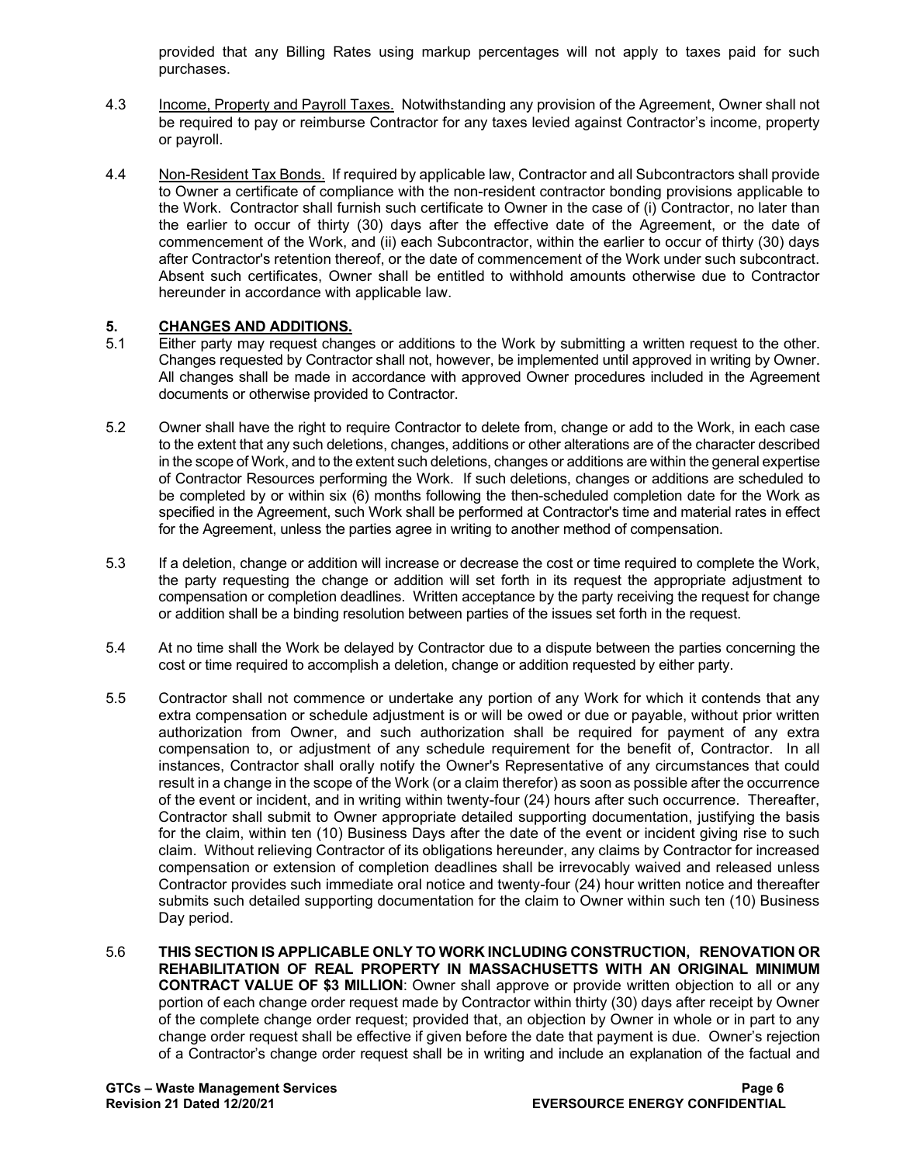provided that any Billing Rates using markup percentages will not apply to taxes paid for such purchases.

- 4.3 Income, Property and Payroll Taxes. Notwithstanding any provision of the Agreement, Owner shall not be required to pay or reimburse Contractor for any taxes levied against Contractor's income, property or payroll.
- 4.4 Non-Resident Tax Bonds. If required by applicable law, Contractor and all Subcontractors shall provide to Owner a certificate of compliance with the non-resident contractor bonding provisions applicable to the Work. Contractor shall furnish such certificate to Owner in the case of (i) Contractor, no later than the earlier to occur of thirty (30) days after the effective date of the Agreement, or the date of commencement of the Work, and (ii) each Subcontractor, within the earlier to occur of thirty (30) days after Contractor's retention thereof, or the date of commencement of the Work under such subcontract. Absent such certificates, Owner shall be entitled to withhold amounts otherwise due to Contractor hereunder in accordance with applicable law.

## **5. CHANGES AND ADDITIONS.**<br>5.1 **Either party may request change**

- Either party may request changes or additions to the Work by submitting a written request to the other. Changes requested by Contractor shall not, however, be implemented until approved in writing by Owner. All changes shall be made in accordance with approved Owner procedures included in the Agreement documents or otherwise provided to Contractor.
- 5.2 Owner shall have the right to require Contractor to delete from, change or add to the Work, in each case to the extent that any such deletions, changes, additions or other alterations are of the character described in the scope of Work, and to the extent such deletions, changes or additions are within the general expertise of Contractor Resources performing the Work. If such deletions, changes or additions are scheduled to be completed by or within six (6) months following the then-scheduled completion date for the Work as specified in the Agreement, such Work shall be performed at Contractor's time and material rates in effect for the Agreement, unless the parties agree in writing to another method of compensation.
- 5.3 If a deletion, change or addition will increase or decrease the cost or time required to complete the Work, the party requesting the change or addition will set forth in its request the appropriate adjustment to compensation or completion deadlines. Written acceptance by the party receiving the request for change or addition shall be a binding resolution between parties of the issues set forth in the request.
- 5.4 At no time shall the Work be delayed by Contractor due to a dispute between the parties concerning the cost or time required to accomplish a deletion, change or addition requested by either party.
- 5.5 Contractor shall not commence or undertake any portion of any Work for which it contends that any extra compensation or schedule adjustment is or will be owed or due or payable, without prior written authorization from Owner, and such authorization shall be required for payment of any extra compensation to, or adjustment of any schedule requirement for the benefit of, Contractor. In all instances, Contractor shall orally notify the Owner's Representative of any circumstances that could result in a change in the scope of the Work (or a claim therefor) as soon as possible after the occurrence of the event or incident, and in writing within twenty-four (24) hours after such occurrence. Thereafter, Contractor shall submit to Owner appropriate detailed supporting documentation, justifying the basis for the claim, within ten (10) Business Days after the date of the event or incident giving rise to such claim. Without relieving Contractor of its obligations hereunder, any claims by Contractor for increased compensation or extension of completion deadlines shall be irrevocably waived and released unless Contractor provides such immediate oral notice and twenty-four (24) hour written notice and thereafter submits such detailed supporting documentation for the claim to Owner within such ten (10) Business Day period.
- 5.6 **THIS SECTION IS APPLICABLE ONLY TO WORK INCLUDING CONSTRUCTION, RENOVATION OR REHABILITATION OF REAL PROPERTY IN MASSACHUSETTS WITH AN ORIGINAL MINIMUM CONTRACT VALUE OF \$3 MILLION**: Owner shall approve or provide written objection to all or any portion of each change order request made by Contractor within thirty (30) days after receipt by Owner of the complete change order request; provided that, an objection by Owner in whole or in part to any change order request shall be effective if given before the date that payment is due. Owner's rejection of a Contractor's change order request shall be in writing and include an explanation of the factual and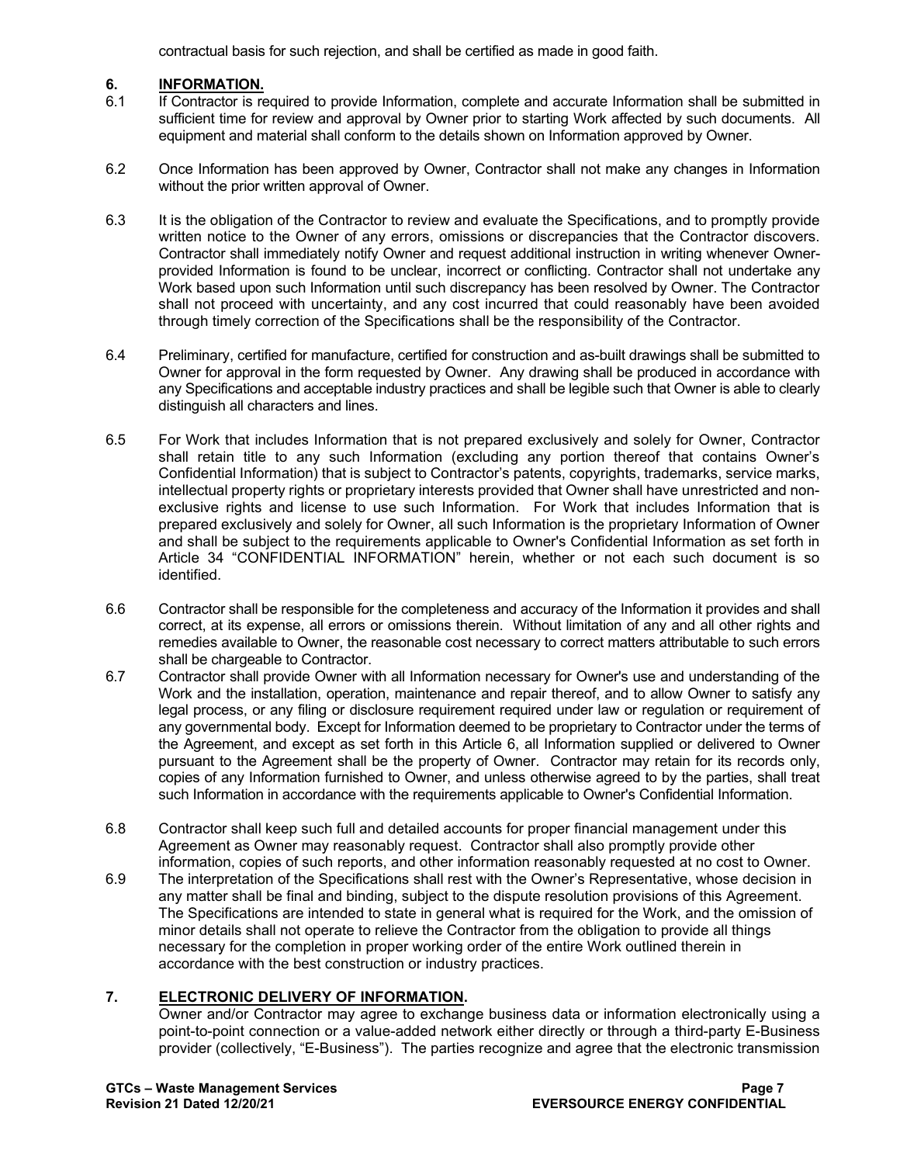contractual basis for such rejection, and shall be certified as made in good faith.

## **6. INFORMATION.**

- 6.1 If Contractor is required to provide Information, complete and accurate Information shall be submitted in sufficient time for review and approval by Owner prior to starting Work affected by such documents. All equipment and material shall conform to the details shown on Information approved by Owner.
- 6.2 Once Information has been approved by Owner, Contractor shall not make any changes in Information without the prior written approval of Owner.
- 6.3 It is the obligation of the Contractor to review and evaluate the Specifications, and to promptly provide written notice to the Owner of any errors, omissions or discrepancies that the Contractor discovers. Contractor shall immediately notify Owner and request additional instruction in writing whenever Ownerprovided Information is found to be unclear, incorrect or conflicting. Contractor shall not undertake any Work based upon such Information until such discrepancy has been resolved by Owner. The Contractor shall not proceed with uncertainty, and any cost incurred that could reasonably have been avoided through timely correction of the Specifications shall be the responsibility of the Contractor.
- 6.4 Preliminary, certified for manufacture, certified for construction and as-built drawings shall be submitted to Owner for approval in the form requested by Owner. Any drawing shall be produced in accordance with any Specifications and acceptable industry practices and shall be legible such that Owner is able to clearly distinguish all characters and lines.
- 6.5 For Work that includes Information that is not prepared exclusively and solely for Owner, Contractor shall retain title to any such Information (excluding any portion thereof that contains Owner's Confidential Information) that is subject to Contractor's patents, copyrights, trademarks, service marks, intellectual property rights or proprietary interests provided that Owner shall have unrestricted and nonexclusive rights and license to use such Information. For Work that includes Information that is prepared exclusively and solely for Owner, all such Information is the proprietary Information of Owner and shall be subject to the requirements applicable to Owner's Confidential Information as set forth in Article 34 "CONFIDENTIAL INFORMATION" herein, whether or not each such document is so identified.
- 6.6 Contractor shall be responsible for the completeness and accuracy of the Information it provides and shall correct, at its expense, all errors or omissions therein. Without limitation of any and all other rights and remedies available to Owner, the reasonable cost necessary to correct matters attributable to such errors shall be chargeable to Contractor.
- 6.7 Contractor shall provide Owner with all Information necessary for Owner's use and understanding of the Work and the installation, operation, maintenance and repair thereof, and to allow Owner to satisfy any legal process, or any filing or disclosure requirement required under law or regulation or requirement of any governmental body. Except for Information deemed to be proprietary to Contractor under the terms of the Agreement, and except as set forth in this Article 6, all Information supplied or delivered to Owner pursuant to the Agreement shall be the property of Owner. Contractor may retain for its records only, copies of any Information furnished to Owner, and unless otherwise agreed to by the parties, shall treat such Information in accordance with the requirements applicable to Owner's Confidential Information.
- 6.8 Contractor shall keep such full and detailed accounts for proper financial management under this Agreement as Owner may reasonably request. Contractor shall also promptly provide other information, copies of such reports, and other information reasonably requested at no cost to Owner.
- 6.9 The interpretation of the Specifications shall rest with the Owner's Representative, whose decision in any matter shall be final and binding, subject to the dispute resolution provisions of this Agreement. The Specifications are intended to state in general what is required for the Work, and the omission of minor details shall not operate to relieve the Contractor from the obligation to provide all things necessary for the completion in proper working order of the entire Work outlined therein in accordance with the best construction or industry practices.

## **7. ELECTRONIC DELIVERY OF INFORMATION.**

Owner and/or Contractor may agree to exchange business data or information electronically using a point-to-point connection or a value-added network either directly or through a third-party E-Business provider (collectively, "E-Business"). The parties recognize and agree that the electronic transmission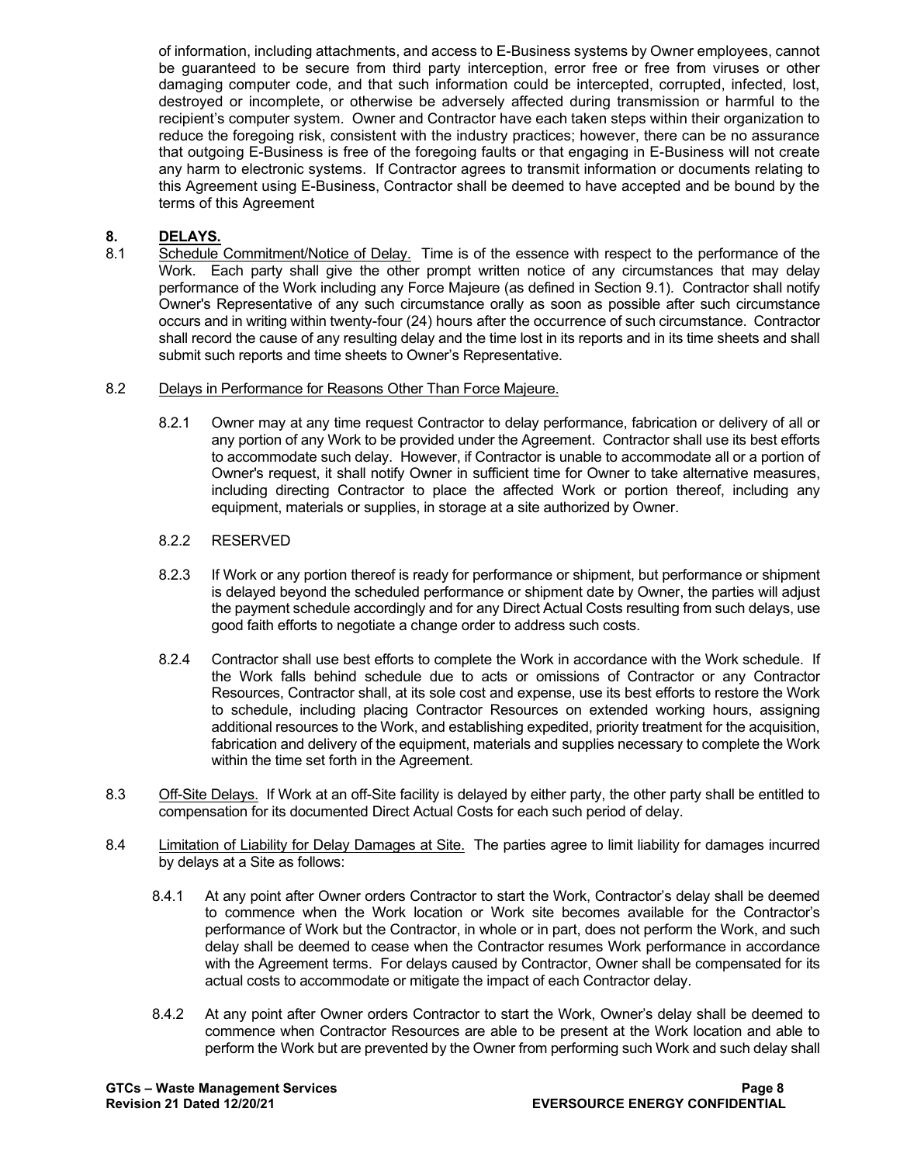of information, including attachments, and access to E-Business systems by Owner employees, cannot be guaranteed to be secure from third party interception, error free or free from viruses or other damaging computer code, and that such information could be intercepted, corrupted, infected, lost, destroyed or incomplete, or otherwise be adversely affected during transmission or harmful to the recipient's computer system. Owner and Contractor have each taken steps within their organization to reduce the foregoing risk, consistent with the industry practices; however, there can be no assurance that outgoing E-Business is free of the foregoing faults or that engaging in E-Business will not create any harm to electronic systems. If Contractor agrees to transmit information or documents relating to this Agreement using E-Business, Contractor shall be deemed to have accepted and be bound by the terms of this Agreement

## **8. DELAYS.**

Schedule Commitment/Notice of Delay. Time is of the essence with respect to the performance of the Work. Each party shall give the other prompt written notice of any circumstances that may delay performance of the Work including any Force Majeure (as defined in Section 9.1). Contractor shall notify Owner's Representative of any such circumstance orally as soon as possible after such circumstance occurs and in writing within twenty-four (24) hours after the occurrence of such circumstance. Contractor shall record the cause of any resulting delay and the time lost in its reports and in its time sheets and shall submit such reports and time sheets to Owner's Representative.

#### 8.2 Delays in Performance for Reasons Other Than Force Majeure.

8.2.1 Owner may at any time request Contractor to delay performance, fabrication or delivery of all or any portion of any Work to be provided under the Agreement. Contractor shall use its best efforts to accommodate such delay. However, if Contractor is unable to accommodate all or a portion of Owner's request, it shall notify Owner in sufficient time for Owner to take alternative measures, including directing Contractor to place the affected Work or portion thereof, including any equipment, materials or supplies, in storage at a site authorized by Owner.

#### 8.2.2 RESERVED

- 8.2.3 If Work or any portion thereof is ready for performance or shipment, but performance or shipment is delayed beyond the scheduled performance or shipment date by Owner, the parties will adjust the payment schedule accordingly and for any Direct Actual Costs resulting from such delays, use good faith efforts to negotiate a change order to address such costs.
- 8.2.4 Contractor shall use best efforts to complete the Work in accordance with the Work schedule. If the Work falls behind schedule due to acts or omissions of Contractor or any Contractor Resources, Contractor shall, at its sole cost and expense, use its best efforts to restore the Work to schedule, including placing Contractor Resources on extended working hours, assigning additional resources to the Work, and establishing expedited, priority treatment for the acquisition, fabrication and delivery of the equipment, materials and supplies necessary to complete the Work within the time set forth in the Agreement.
- 8.3 Off-Site Delays. If Work at an off-Site facility is delayed by either party, the other party shall be entitled to compensation for its documented Direct Actual Costs for each such period of delay.
- 8.4 Limitation of Liability for Delay Damages at Site. The parties agree to limit liability for damages incurred by delays at a Site as follows:
	- 8.4.1 At any point after Owner orders Contractor to start the Work, Contractor's delay shall be deemed to commence when the Work location or Work site becomes available for the Contractor's performance of Work but the Contractor, in whole or in part, does not perform the Work, and such delay shall be deemed to cease when the Contractor resumes Work performance in accordance with the Agreement terms. For delays caused by Contractor, Owner shall be compensated for its actual costs to accommodate or mitigate the impact of each Contractor delay.
	- 8.4.2 At any point after Owner orders Contractor to start the Work, Owner's delay shall be deemed to commence when Contractor Resources are able to be present at the Work location and able to perform the Work but are prevented by the Owner from performing such Work and such delay shall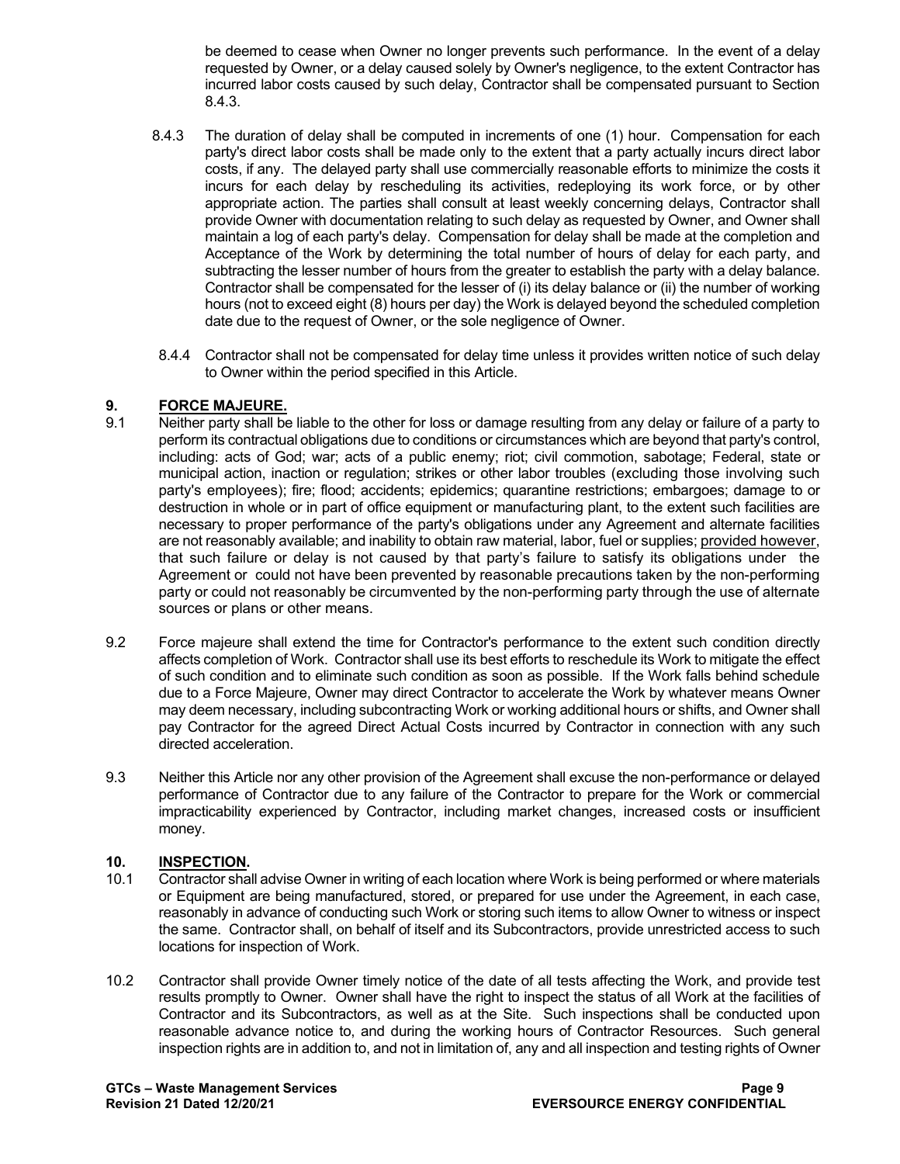be deemed to cease when Owner no longer prevents such performance. In the event of a delay requested by Owner, or a delay caused solely by Owner's negligence, to the extent Contractor has incurred labor costs caused by such delay, Contractor shall be compensated pursuant to Section 8.4.3.

- 8.4.3 The duration of delay shall be computed in increments of one (1) hour. Compensation for each party's direct labor costs shall be made only to the extent that a party actually incurs direct labor costs, if any. The delayed party shall use commercially reasonable efforts to minimize the costs it incurs for each delay by rescheduling its activities, redeploying its work force, or by other appropriate action. The parties shall consult at least weekly concerning delays, Contractor shall provide Owner with documentation relating to such delay as requested by Owner, and Owner shall maintain a log of each party's delay. Compensation for delay shall be made at the completion and Acceptance of the Work by determining the total number of hours of delay for each party, and subtracting the lesser number of hours from the greater to establish the party with a delay balance. Contractor shall be compensated for the lesser of (i) its delay balance or (ii) the number of working hours (not to exceed eight (8) hours per day) the Work is delayed beyond the scheduled completion date due to the request of Owner, or the sole negligence of Owner.
- 8.4.4 Contractor shall not be compensated for delay time unless it provides written notice of such delay to Owner within the period specified in this Article.

# **9. FORCE MAJEURE.**<br>9.1 **Neither party shall be**

- Neither party shall be liable to the other for loss or damage resulting from any delay or failure of a party to perform its contractual obligations due to conditions or circumstances which are beyond that party's control, including: acts of God; war; acts of a public enemy; riot; civil commotion, sabotage; Federal, state or municipal action, inaction or regulation; strikes or other labor troubles (excluding those involving such party's employees); fire; flood; accidents; epidemics; quarantine restrictions; embargoes; damage to or destruction in whole or in part of office equipment or manufacturing plant, to the extent such facilities are necessary to proper performance of the party's obligations under any Agreement and alternate facilities are not reasonably available; and inability to obtain raw material, labor, fuel or supplies; provided however, that such failure or delay is not caused by that party's failure to satisfy its obligations under the Agreement or could not have been prevented by reasonable precautions taken by the non-performing party or could not reasonably be circumvented by the non-performing party through the use of alternate sources or plans or other means.
- 9.2 Force majeure shall extend the time for Contractor's performance to the extent such condition directly affects completion of Work. Contractor shall use its best efforts to reschedule its Work to mitigate the effect of such condition and to eliminate such condition as soon as possible. If the Work falls behind schedule due to a Force Majeure, Owner may direct Contractor to accelerate the Work by whatever means Owner may deem necessary, including subcontracting Work or working additional hours or shifts, and Owner shall pay Contractor for the agreed Direct Actual Costs incurred by Contractor in connection with any such directed acceleration.
- 9.3 Neither this Article nor any other provision of the Agreement shall excuse the non-performance or delayed performance of Contractor due to any failure of the Contractor to prepare for the Work or commercial impracticability experienced by Contractor, including market changes, increased costs or insufficient money.

## 10. **INSPECTION.**<br>10.1 Contractor sha

- Contractor shall advise Owner in writing of each location where Work is being performed or where materials or Equipment are being manufactured, stored, or prepared for use under the Agreement, in each case, reasonably in advance of conducting such Work or storing such items to allow Owner to witness or inspect the same. Contractor shall, on behalf of itself and its Subcontractors, provide unrestricted access to such locations for inspection of Work.
- 10.2 Contractor shall provide Owner timely notice of the date of all tests affecting the Work, and provide test results promptly to Owner. Owner shall have the right to inspect the status of all Work at the facilities of Contractor and its Subcontractors, as well as at the Site. Such inspections shall be conducted upon reasonable advance notice to, and during the working hours of Contractor Resources. Such general inspection rights are in addition to, and not in limitation of, any and all inspection and testing rights of Owner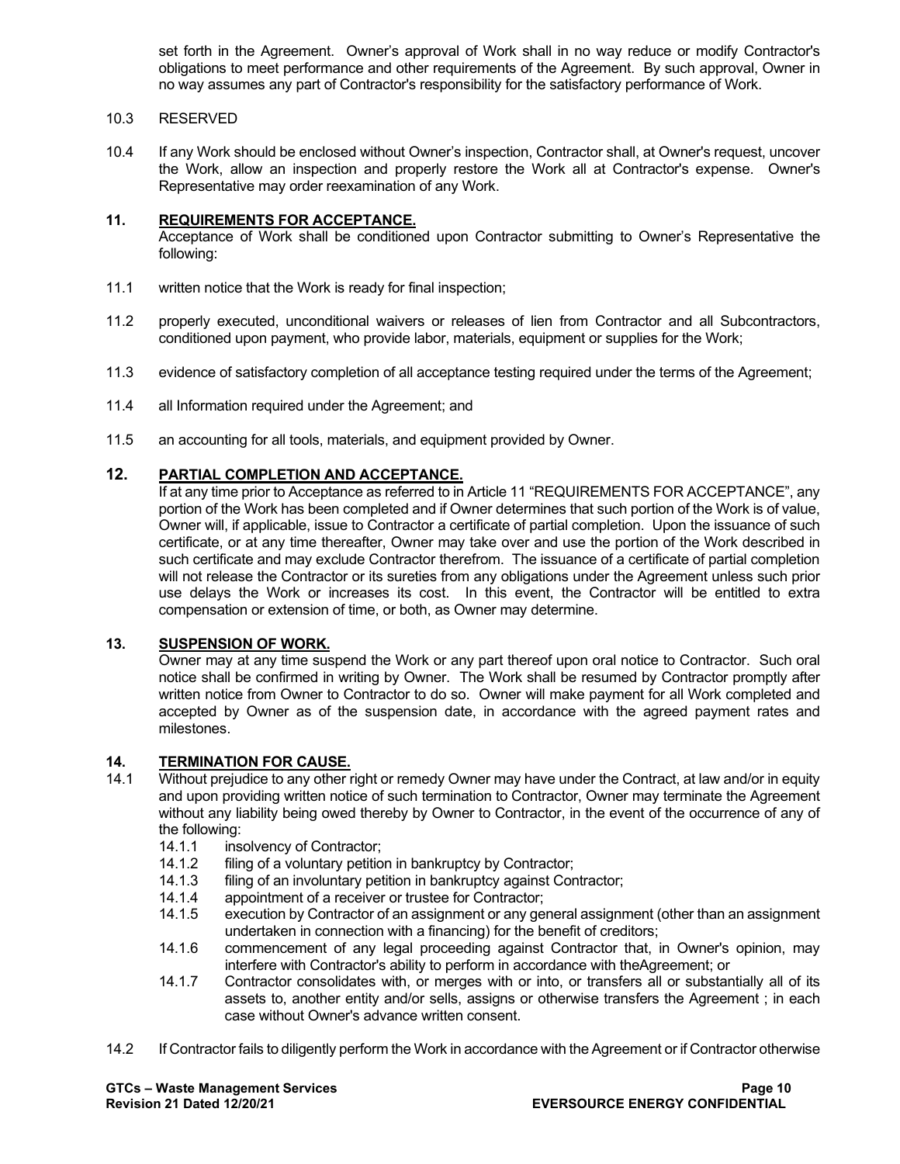set forth in the Agreement. Owner's approval of Work shall in no way reduce or modify Contractor's obligations to meet performance and other requirements of the Agreement. By such approval, Owner in no way assumes any part of Contractor's responsibility for the satisfactory performance of Work.

#### 10.3 RESERVED

10.4 If any Work should be enclosed without Owner's inspection, Contractor shall, at Owner's request, uncover the Work, allow an inspection and properly restore the Work all at Contractor's expense. Owner's Representative may order reexamination of any Work.

#### **11. REQUIREMENTS FOR ACCEPTANCE.**

Acceptance of Work shall be conditioned upon Contractor submitting to Owner's Representative the following:

- 11.1 written notice that the Work is ready for final inspection;
- 11.2 properly executed, unconditional waivers or releases of lien from Contractor and all Subcontractors, conditioned upon payment, who provide labor, materials, equipment or supplies for the Work;
- 11.3 evidence of satisfactory completion of all acceptance testing required under the terms of the Agreement;
- 11.4 all Information required under the Agreement; and
- 11.5 an accounting for all tools, materials, and equipment provided by Owner.

## **12. PARTIAL COMPLETION AND ACCEPTANCE.**

If at any time prior to Acceptance as referred to in Article 11 "REQUIREMENTS FOR ACCEPTANCE", any portion of the Work has been completed and if Owner determines that such portion of the Work is of value, Owner will, if applicable, issue to Contractor a certificate of partial completion. Upon the issuance of such certificate, or at any time thereafter, Owner may take over and use the portion of the Work described in such certificate and may exclude Contractor therefrom. The issuance of a certificate of partial completion will not release the Contractor or its sureties from any obligations under the Agreement unless such prior use delays the Work or increases its cost. In this event, the Contractor will be entitled to extra compensation or extension of time, or both, as Owner may determine.

#### **13. SUSPENSION OF WORK.**

Owner may at any time suspend the Work or any part thereof upon oral notice to Contractor. Such oral notice shall be confirmed in writing by Owner. The Work shall be resumed by Contractor promptly after written notice from Owner to Contractor to do so. Owner will make payment for all Work completed and accepted by Owner as of the suspension date, in accordance with the agreed payment rates and milestones.

## **14. TERMINATION FOR CAUSE.**

- Without prejudice to any other right or remedy Owner may have under the Contract, at law and/or in equity and upon providing written notice of such termination to Contractor, Owner may terminate the Agreement without any liability being owed thereby by Owner to Contractor, in the event of the occurrence of any of the following:
	- 14.1.1 insolvency of Contractor;
	- 14.1.2 filing of a voluntary petition in bankruptcy by Contractor;<br>14.1.3 filing of an involuntary petition in bankruptcy against Cor
	- 14.1.3 filing of an involuntary petition in bankruptcy against Contractor;<br>14.1.4 appointment of a receiver or trustee for Contractor:
	- 14.1.4 appointment of a receiver or trustee for Contractor;<br>14.1.5 execution by Contractor of an assignment or any get
	- execution by Contractor of an assignment or any general assignment (other than an assignment undertaken in connection with a financing) for the benefit of creditors;
	- 14.1.6 commencement of any legal proceeding against Contractor that, in Owner's opinion, may interfere with Contractor's ability to perform in accordance with theAgreement; or
	- 14.1.7 Contractor consolidates with, or merges with or into, or transfers all or substantially all of its assets to, another entity and/or sells, assigns or otherwise transfers the Agreement ; in each case without Owner's advance written consent.
- 14.2 If Contractor fails to diligently perform the Work in accordance with the Agreement or if Contractor otherwise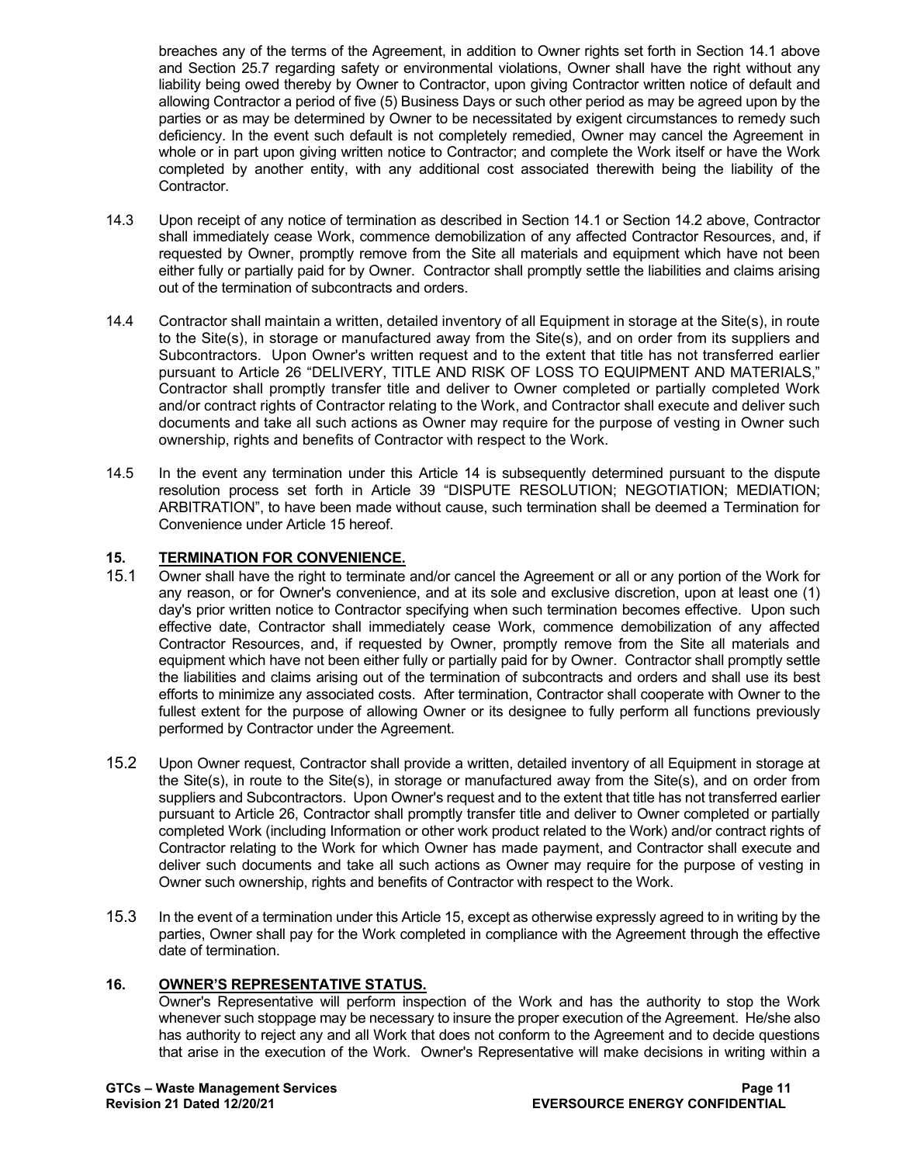breaches any of the terms of the Agreement, in addition to Owner rights set forth in Section 14.1 above and Section 25.7 regarding safety or environmental violations, Owner shall have the right without any liability being owed thereby by Owner to Contractor, upon giving Contractor written notice of default and allowing Contractor a period of five (5) Business Days or such other period as may be agreed upon by the parties or as may be determined by Owner to be necessitated by exigent circumstances to remedy such deficiency. In the event such default is not completely remedied, Owner may cancel the Agreement in whole or in part upon giving written notice to Contractor; and complete the Work itself or have the Work completed by another entity, with any additional cost associated therewith being the liability of the Contractor.

- 14.3 Upon receipt of any notice of termination as described in Section 14.1 or Section 14.2 above, Contractor shall immediately cease Work, commence demobilization of any affected Contractor Resources, and, if requested by Owner, promptly remove from the Site all materials and equipment which have not been either fully or partially paid for by Owner. Contractor shall promptly settle the liabilities and claims arising out of the termination of subcontracts and orders.
- 14.4 Contractor shall maintain a written, detailed inventory of all Equipment in storage at the Site(s), in route to the Site(s), in storage or manufactured away from the Site(s), and on order from its suppliers and Subcontractors. Upon Owner's written request and to the extent that title has not transferred earlier pursuant to Article 26 "DELIVERY, TITLE AND RISK OF LOSS TO EQUIPMENT AND MATERIALS," Contractor shall promptly transfer title and deliver to Owner completed or partially completed Work and/or contract rights of Contractor relating to the Work, and Contractor shall execute and deliver such documents and take all such actions as Owner may require for the purpose of vesting in Owner such ownership, rights and benefits of Contractor with respect to the Work.
- 14.5 In the event any termination under this Article 14 is subsequently determined pursuant to the dispute resolution process set forth in Article 39 "DISPUTE RESOLUTION; NEGOTIATION; MEDIATION; ARBITRATION", to have been made without cause, such termination shall be deemed a Termination for Convenience under Article 15 hereof.

# **15. TERMINATION FOR CONVENIENCE.**

- Owner shall have the right to terminate and/or cancel the Agreement or all or any portion of the Work for any reason, or for Owner's convenience, and at its sole and exclusive discretion, upon at least one (1) day's prior written notice to Contractor specifying when such termination becomes effective. Upon such effective date, Contractor shall immediately cease Work, commence demobilization of any affected Contractor Resources, and, if requested by Owner, promptly remove from the Site all materials and equipment which have not been either fully or partially paid for by Owner. Contractor shall promptly settle the liabilities and claims arising out of the termination of subcontracts and orders and shall use its best efforts to minimize any associated costs. After termination, Contractor shall cooperate with Owner to the fullest extent for the purpose of allowing Owner or its designee to fully perform all functions previously performed by Contractor under the Agreement.
- 15.2 Upon Owner request, Contractor shall provide a written, detailed inventory of all Equipment in storage at the Site(s), in route to the Site(s), in storage or manufactured away from the Site(s), and on order from suppliers and Subcontractors. Upon Owner's request and to the extent that title has not transferred earlier pursuant to Article 26, Contractor shall promptly transfer title and deliver to Owner completed or partially completed Work (including Information or other work product related to the Work) and/or contract rights of Contractor relating to the Work for which Owner has made payment, and Contractor shall execute and deliver such documents and take all such actions as Owner may require for the purpose of vesting in Owner such ownership, rights and benefits of Contractor with respect to the Work.
- 15.3 In the event of a termination under this Article 15, except as otherwise expressly agreed to in writing by the parties, Owner shall pay for the Work completed in compliance with the Agreement through the effective date of termination.

#### **16. OWNER'S REPRESENTATIVE STATUS.**

Owner's Representative will perform inspection of the Work and has the authority to stop the Work whenever such stoppage may be necessary to insure the proper execution of the Agreement. He/she also has authority to reject any and all Work that does not conform to the Agreement and to decide questions that arise in the execution of the Work. Owner's Representative will make decisions in writing within a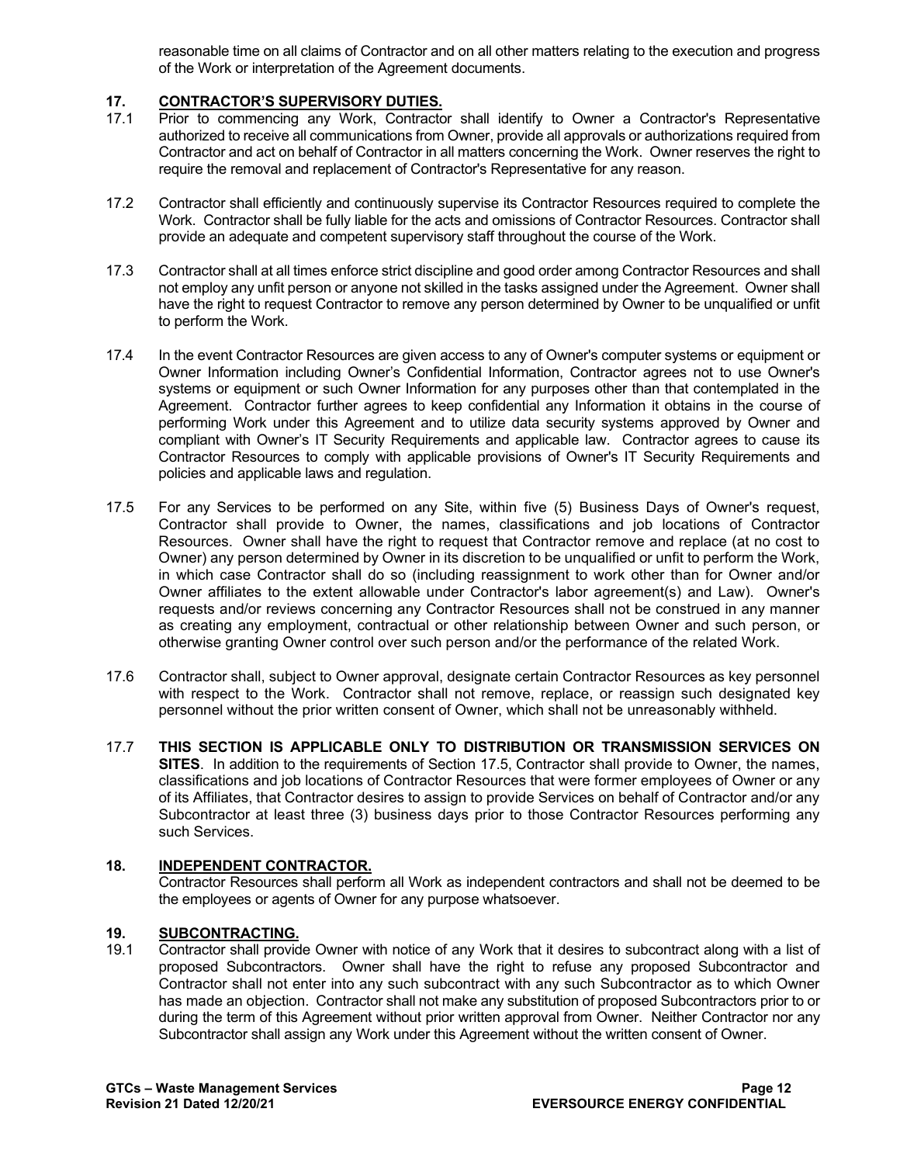reasonable time on all claims of Contractor and on all other matters relating to the execution and progress of the Work or interpretation of the Agreement documents.

## **17. CONTRACTOR'S SUPERVISORY DUTIES.**

- Prior to commencing any Work, Contractor shall identify to Owner a Contractor's Representative authorized to receive all communications from Owner, provide all approvals or authorizations required from Contractor and act on behalf of Contractor in all matters concerning the Work. Owner reserves the right to require the removal and replacement of Contractor's Representative for any reason.
- 17.2 Contractor shall efficiently and continuously supervise its Contractor Resources required to complete the Work. Contractor shall be fully liable for the acts and omissions of Contractor Resources. Contractor shall provide an adequate and competent supervisory staff throughout the course of the Work.
- 17.3 Contractor shall at all times enforce strict discipline and good order among Contractor Resources and shall not employ any unfit person or anyone not skilled in the tasks assigned under the Agreement. Owner shall have the right to request Contractor to remove any person determined by Owner to be unqualified or unfit to perform the Work.
- 17.4 In the event Contractor Resources are given access to any of Owner's computer systems or equipment or Owner Information including Owner's Confidential Information, Contractor agrees not to use Owner's systems or equipment or such Owner Information for any purposes other than that contemplated in the Agreement. Contractor further agrees to keep confidential any Information it obtains in the course of performing Work under this Agreement and to utilize data security systems approved by Owner and compliant with Owner's IT Security Requirements and applicable law. Contractor agrees to cause its Contractor Resources to comply with applicable provisions of Owner's IT Security Requirements and policies and applicable laws and regulation.
- 17.5 For any Services to be performed on any Site, within five (5) Business Days of Owner's request, Contractor shall provide to Owner, the names, classifications and job locations of Contractor Resources. Owner shall have the right to request that Contractor remove and replace (at no cost to Owner) any person determined by Owner in its discretion to be unqualified or unfit to perform the Work, in which case Contractor shall do so (including reassignment to work other than for Owner and/or Owner affiliates to the extent allowable under Contractor's labor agreement(s) and Law). Owner's requests and/or reviews concerning any Contractor Resources shall not be construed in any manner as creating any employment, contractual or other relationship between Owner and such person, or otherwise granting Owner control over such person and/or the performance of the related Work.
- 17.6 Contractor shall, subject to Owner approval, designate certain Contractor Resources as key personnel with respect to the Work. Contractor shall not remove, replace, or reassign such designated key personnel without the prior written consent of Owner, which shall not be unreasonably withheld.
- 17.7 **THIS SECTION IS APPLICABLE ONLY TO DISTRIBUTION OR TRANSMISSION SERVICES ON SITES**. In addition to the requirements of Section 17.5, Contractor shall provide to Owner, the names, classifications and job locations of Contractor Resources that were former employees of Owner or any of its Affiliates, that Contractor desires to assign to provide Services on behalf of Contractor and/or any Subcontractor at least three (3) business days prior to those Contractor Resources performing any such Services.

#### **18. INDEPENDENT CONTRACTOR.**

Contractor Resources shall perform all Work as independent contractors and shall not be deemed to be the employees or agents of Owner for any purpose whatsoever.

#### **19. SUBCONTRACTING.**

19.1 Contractor shall provide Owner with notice of any Work that it desires to subcontract along with a list of proposed Subcontractors. Owner shall have the right to refuse any proposed Subcontractor and Contractor shall not enter into any such subcontract with any such Subcontractor as to which Owner has made an objection. Contractor shall not make any substitution of proposed Subcontractors prior to or during the term of this Agreement without prior written approval from Owner. Neither Contractor nor any Subcontractor shall assign any Work under this Agreement without the written consent of Owner.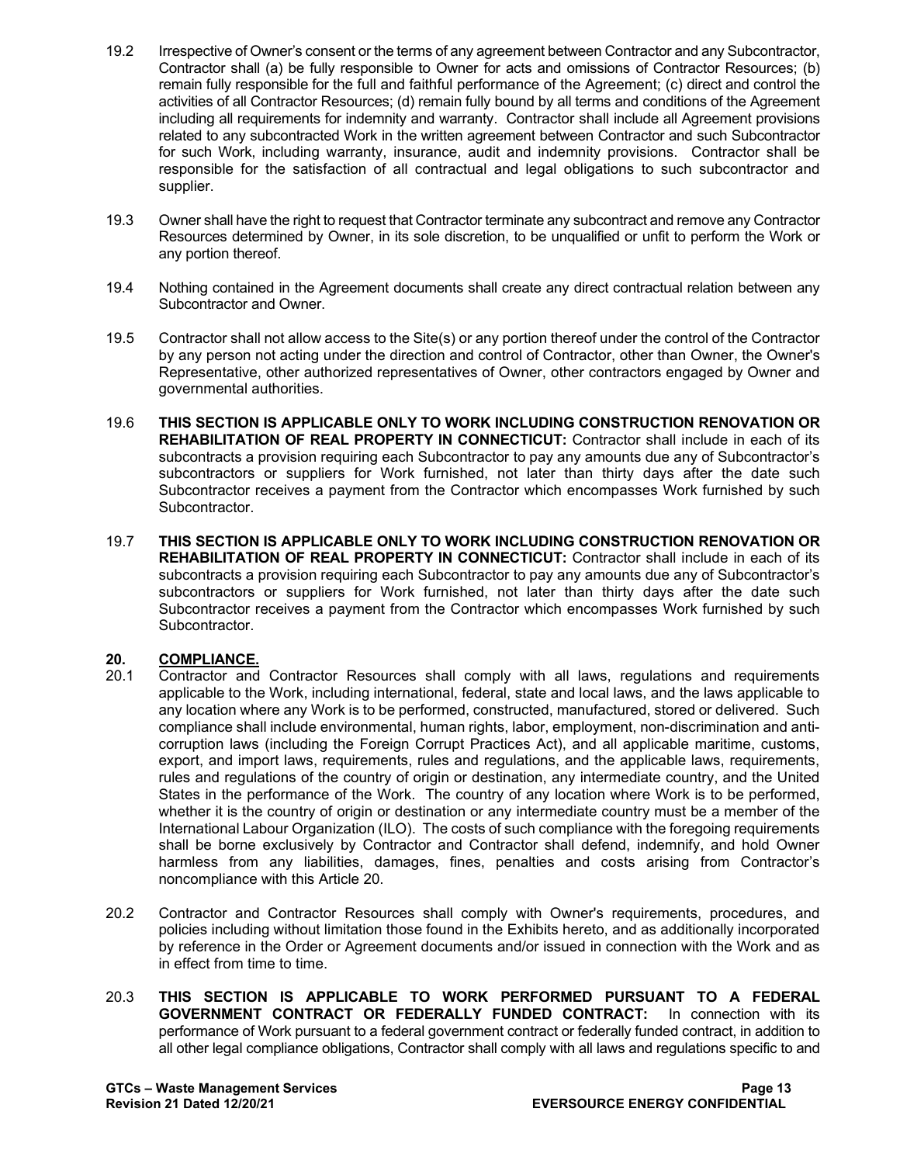- 19.2 Irrespective of Owner's consent or the terms of any agreement between Contractor and any Subcontractor, Contractor shall (a) be fully responsible to Owner for acts and omissions of Contractor Resources; (b) remain fully responsible for the full and faithful performance of the Agreement; (c) direct and control the activities of all Contractor Resources; (d) remain fully bound by all terms and conditions of the Agreement including all requirements for indemnity and warranty. Contractor shall include all Agreement provisions related to any subcontracted Work in the written agreement between Contractor and such Subcontractor for such Work, including warranty, insurance, audit and indemnity provisions. Contractor shall be responsible for the satisfaction of all contractual and legal obligations to such subcontractor and supplier.
- 19.3 Owner shall have the right to request that Contractor terminate any subcontract and remove any Contractor Resources determined by Owner, in its sole discretion, to be unqualified or unfit to perform the Work or any portion thereof.
- 19.4 Nothing contained in the Agreement documents shall create any direct contractual relation between any Subcontractor and Owner.
- 19.5 Contractor shall not allow access to the Site(s) or any portion thereof under the control of the Contractor by any person not acting under the direction and control of Contractor, other than Owner, the Owner's Representative, other authorized representatives of Owner, other contractors engaged by Owner and governmental authorities.
- 19.6 **THIS SECTION IS APPLICABLE ONLY TO WORK INCLUDING CONSTRUCTION RENOVATION OR REHABILITATION OF REAL PROPERTY IN CONNECTICUT:** Contractor shall include in each of its subcontracts a provision requiring each Subcontractor to pay any amounts due any of Subcontractor's subcontractors or suppliers for Work furnished, not later than thirty days after the date such Subcontractor receives a payment from the Contractor which encompasses Work furnished by such Subcontractor.
- 19.7 **THIS SECTION IS APPLICABLE ONLY TO WORK INCLUDING CONSTRUCTION RENOVATION OR REHABILITATION OF REAL PROPERTY IN CONNECTICUT:** Contractor shall include in each of its subcontracts a provision requiring each Subcontractor to pay any amounts due any of Subcontractor's subcontractors or suppliers for Work furnished, not later than thirty days after the date such Subcontractor receives a payment from the Contractor which encompasses Work furnished by such Subcontractor.

## 20. **COMPLIANCE.**<br>20.1 Contractor and

- 20.1 Contractor and Contractor Resources shall comply with all laws, regulations and requirements applicable to the Work, including international, federal, state and local laws, and the laws applicable to any location where any Work is to be performed, constructed, manufactured, stored or delivered. Such compliance shall include environmental, human rights, labor, employment, non-discrimination and anticorruption laws (including the Foreign Corrupt Practices Act), and all applicable maritime, customs, export, and import laws, requirements, rules and regulations, and the applicable laws, requirements, rules and regulations of the country of origin or destination, any intermediate country, and the United States in the performance of the Work. The country of any location where Work is to be performed, whether it is the country of origin or destination or any intermediate country must be a member of the International Labour Organization (ILO). The costs of such compliance with the foregoing requirements shall be borne exclusively by Contractor and Contractor shall defend, indemnify, and hold Owner harmless from any liabilities, damages, fines, penalties and costs arising from Contractor's noncompliance with this Article 20.
- 20.2 Contractor and Contractor Resources shall comply with Owner's requirements, procedures, and policies including without limitation those found in the Exhibits hereto, and as additionally incorporated by reference in the Order or Agreement documents and/or issued in connection with the Work and as in effect from time to time.
- 20.3 **THIS SECTION IS APPLICABLE TO WORK PERFORMED PURSUANT TO A FEDERAL GOVERNMENT CONTRACT OR FEDERALLY FUNDED CONTRACT:** In connection with its performance of Work pursuant to a federal government contract or federally funded contract, in addition to all other legal compliance obligations, Contractor shall comply with all laws and regulations specific to and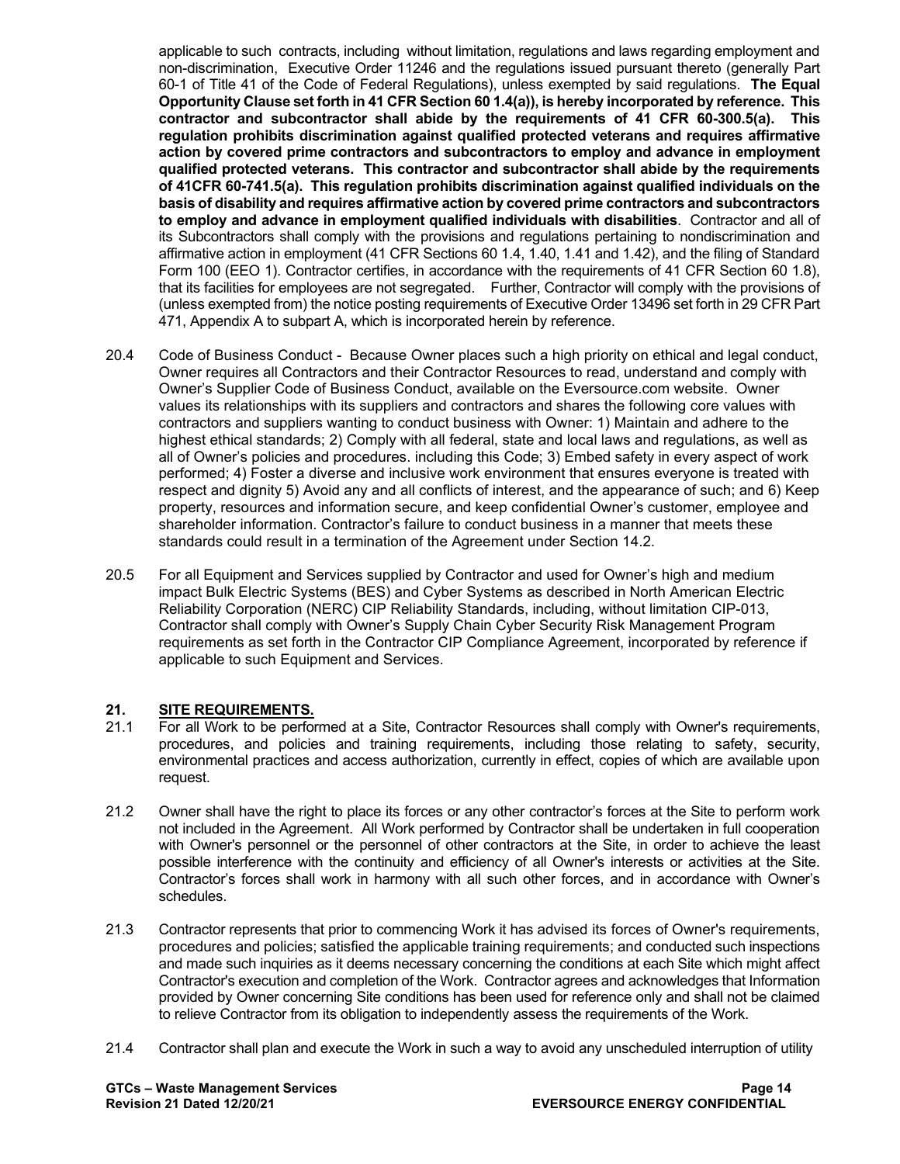applicable to such contracts, including without limitation, regulations and laws regarding employment and non-discrimination, Executive Order 11246 and the regulations issued pursuant thereto (generally Part 60-1 of Title 41 of the Code of Federal Regulations), unless exempted by said regulations. **The Equal Opportunity Clause set forth in 41 CFR Section 60 1.4(a)), is hereby incorporated by reference. This contractor and subcontractor shall abide by the requirements of 41 CFR 60-300.5(a). This regulation prohibits discrimination against qualified protected veterans and requires affirmative action by covered prime contractors and subcontractors to employ and advance in employment qualified protected veterans. This contractor and subcontractor shall abide by the requirements of 41CFR 60-741.5(a). This regulation prohibits discrimination against qualified individuals on the basis of disability and requires affirmative action by covered prime contractors and subcontractors to employ and advance in employment qualified individuals with disabilities**. Contractor and all of its Subcontractors shall comply with the provisions and regulations pertaining to nondiscrimination and affirmative action in employment (41 CFR Sections 60 1.4, 1.40, 1.41 and 1.42), and the filing of Standard Form 100 (EEO 1). Contractor certifies, in accordance with the requirements of 41 CFR Section 60 1.8), that its facilities for employees are not segregated. Further, Contractor will comply with the provisions of (unless exempted from) the notice posting requirements of Executive Order 13496 set forth in 29 CFR Part 471, Appendix A to subpart A, which is incorporated herein by reference.

- 20.4 Code of Business Conduct Because Owner places such a high priority on ethical and legal conduct, Owner requires all Contractors and their Contractor Resources to read, understand and comply with Owner's Supplier Code of Business Conduct, available on the Eversource.com website. Owner values its relationships with its suppliers and contractors and shares the following core values with contractors and suppliers wanting to conduct business with Owner: 1) Maintain and adhere to the highest ethical standards; 2) Comply with all federal, state and local laws and regulations, as well as all of Owner's policies and procedures. including this Code; 3) Embed safety in every aspect of work performed; 4) Foster a diverse and inclusive work environment that ensures everyone is treated with respect and dignity 5) Avoid any and all conflicts of interest, and the appearance of such; and 6) Keep property, resources and information secure, and keep confidential Owner's customer, employee and shareholder information. Contractor's failure to conduct business in a manner that meets these standards could result in a termination of the Agreement under Section 14.2.
- 20.5 For all Equipment and Services supplied by Contractor and used for Owner's high and medium impact Bulk Electric Systems (BES) and Cyber Systems as described in North American Electric Reliability Corporation (NERC) CIP Reliability Standards, including, without limitation CIP-013, Contractor shall comply with Owner's Supply Chain Cyber Security Risk Management Program requirements as set forth in the Contractor CIP Compliance Agreement, incorporated by reference if applicable to such Equipment and Services.

# **21. SITE REQUIREMENTS.**

- 21.1 For all Work to be performed at a Site, Contractor Resources shall comply with Owner's requirements, procedures, and policies and training requirements, including those relating to safety, security, environmental practices and access authorization, currently in effect, copies of which are available upon request.
- 21.2 Owner shall have the right to place its forces or any other contractor's forces at the Site to perform work not included in the Agreement. All Work performed by Contractor shall be undertaken in full cooperation with Owner's personnel or the personnel of other contractors at the Site, in order to achieve the least possible interference with the continuity and efficiency of all Owner's interests or activities at the Site. Contractor's forces shall work in harmony with all such other forces, and in accordance with Owner's schedules.
- 21.3 Contractor represents that prior to commencing Work it has advised its forces of Owner's requirements, procedures and policies; satisfied the applicable training requirements; and conducted such inspections and made such inquiries as it deems necessary concerning the conditions at each Site which might affect Contractor's execution and completion of the Work. Contractor agrees and acknowledges that Information provided by Owner concerning Site conditions has been used for reference only and shall not be claimed to relieve Contractor from its obligation to independently assess the requirements of the Work.
- 21.4 Contractor shall plan and execute the Work in such a way to avoid any unscheduled interruption of utility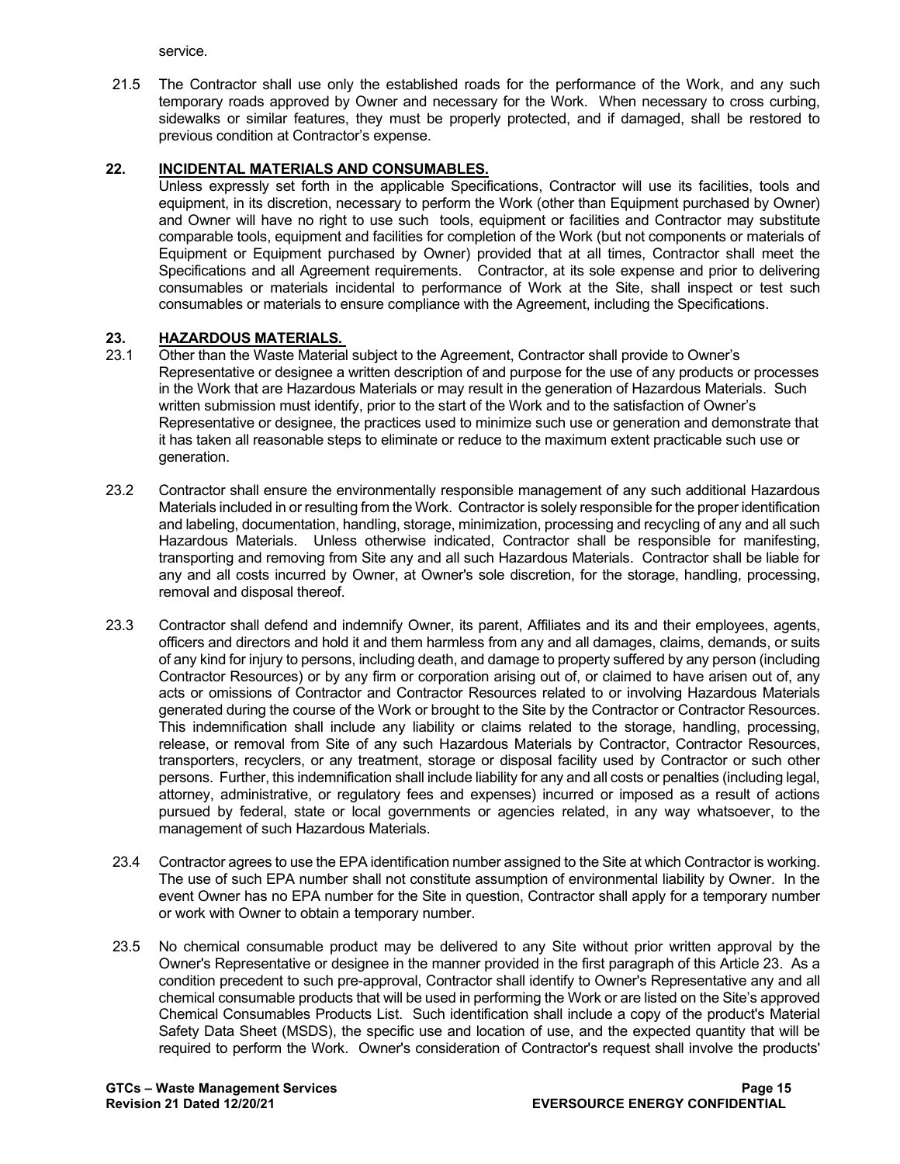service.

21.5 The Contractor shall use only the established roads for the performance of the Work, and any such temporary roads approved by Owner and necessary for the Work. When necessary to cross curbing, sidewalks or similar features, they must be properly protected, and if damaged, shall be restored to previous condition at Contractor's expense.

## **22. INCIDENTAL MATERIALS AND CONSUMABLES.**

Unless expressly set forth in the applicable Specifications, Contractor will use its facilities, tools and equipment, in its discretion, necessary to perform the Work (other than Equipment purchased by Owner) and Owner will have no right to use such tools, equipment or facilities and Contractor may substitute comparable tools, equipment and facilities for completion of the Work (but not components or materials of Equipment or Equipment purchased by Owner) provided that at all times, Contractor shall meet the Specifications and all Agreement requirements. Contractor, at its sole expense and prior to delivering consumables or materials incidental to performance of Work at the Site, shall inspect or test such consumables or materials to ensure compliance with the Agreement, including the Specifications.

# **23. HAZARDOUS MATERIALS.**

- Other than the Waste Material subject to the Agreement, Contractor shall provide to Owner's Representative or designee a written description of and purpose for the use of any products or processes in the Work that are Hazardous Materials or may result in the generation of Hazardous Materials. Such written submission must identify, prior to the start of the Work and to the satisfaction of Owner's Representative or designee, the practices used to minimize such use or generation and demonstrate that it has taken all reasonable steps to eliminate or reduce to the maximum extent practicable such use or generation.
- 23.2 Contractor shall ensure the environmentally responsible management of any such additional Hazardous Materials included in or resulting from the Work. Contractor is solely responsible for the proper identification and labeling, documentation, handling, storage, minimization, processing and recycling of any and all such Hazardous Materials. Unless otherwise indicated, Contractor shall be responsible for manifesting, transporting and removing from Site any and all such Hazardous Materials. Contractor shall be liable for any and all costs incurred by Owner, at Owner's sole discretion, for the storage, handling, processing, removal and disposal thereof.
- 23.3 Contractor shall defend and indemnify Owner, its parent, Affiliates and its and their employees, agents, officers and directors and hold it and them harmless from any and all damages, claims, demands, or suits of any kind for injury to persons, including death, and damage to property suffered by any person (including Contractor Resources) or by any firm or corporation arising out of, or claimed to have arisen out of, any acts or omissions of Contractor and Contractor Resources related to or involving Hazardous Materials generated during the course of the Work or brought to the Site by the Contractor or Contractor Resources. This indemnification shall include any liability or claims related to the storage, handling, processing, release, or removal from Site of any such Hazardous Materials by Contractor, Contractor Resources, transporters, recyclers, or any treatment, storage or disposal facility used by Contractor or such other persons. Further, this indemnification shall include liability for any and all costs or penalties (including legal, attorney, administrative, or regulatory fees and expenses) incurred or imposed as a result of actions pursued by federal, state or local governments or agencies related, in any way whatsoever, to the management of such Hazardous Materials.
- 23.4 Contractor agrees to use the EPA identification number assigned to the Site at which Contractor is working. The use of such EPA number shall not constitute assumption of environmental liability by Owner. In the event Owner has no EPA number for the Site in question, Contractor shall apply for a temporary number or work with Owner to obtain a temporary number.
- 23.5 No chemical consumable product may be delivered to any Site without prior written approval by the Owner's Representative or designee in the manner provided in the first paragraph of this Article 23. As a condition precedent to such pre-approval, Contractor shall identify to Owner's Representative any and all chemical consumable products that will be used in performing the Work or are listed on the Site's approved Chemical Consumables Products List. Such identification shall include a copy of the product's Material Safety Data Sheet (MSDS), the specific use and location of use, and the expected quantity that will be required to perform the Work. Owner's consideration of Contractor's request shall involve the products'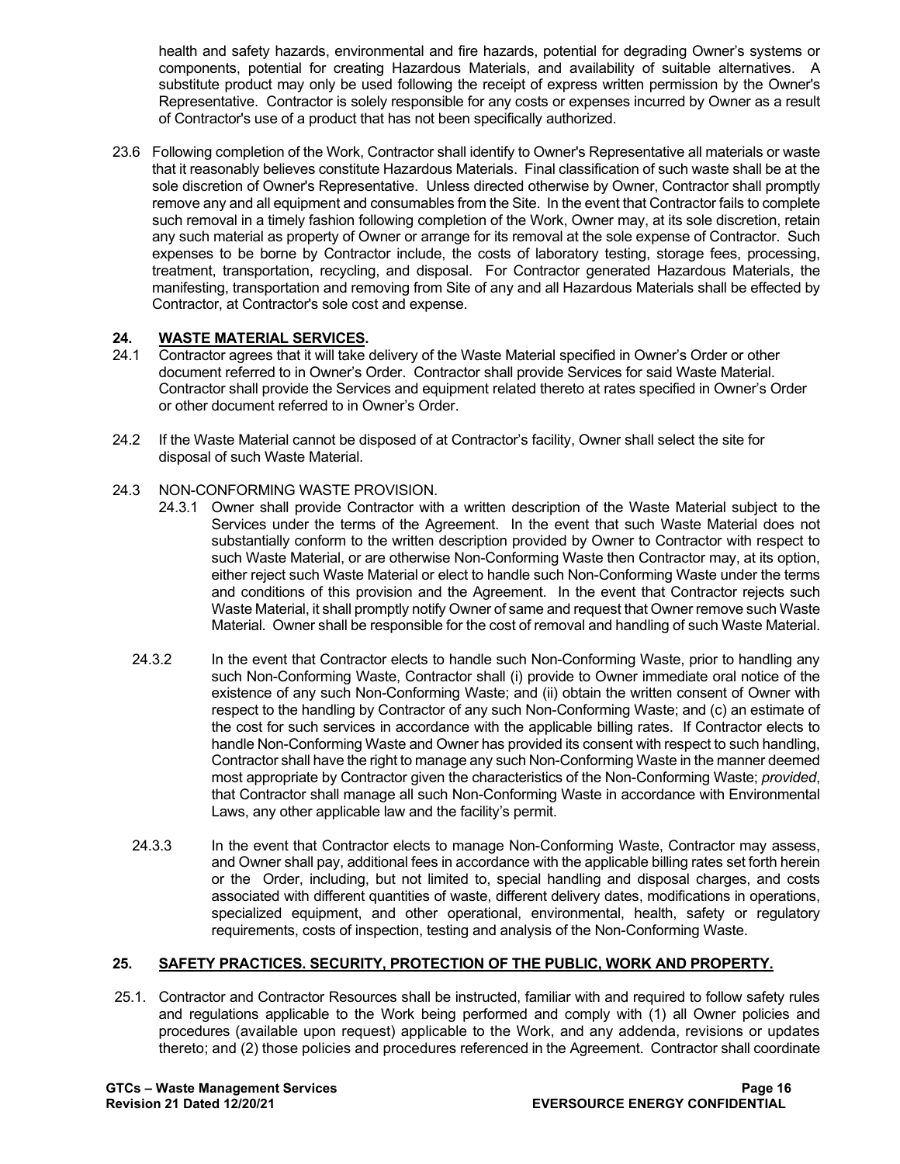health and safety hazards, environmental and fire hazards, potential for degrading Owner's systems or components, potential for creating Hazardous Materials, and availability of suitable alternatives. A substitute product may only be used following the receipt of express written permission by the Owner's Representative. Contractor is solely responsible for any costs or expenses incurred by Owner as a result of Contractor's use of a product that has not been specifically authorized.

23.6 Following completion of the Work, Contractor shall identify to Owner's Representative all materials or waste that it reasonably believes constitute Hazardous Materials. Final classification of such waste shall be at the sole discretion of Owner's Representative. Unless directed otherwise by Owner, Contractor shall promptly remove any and all equipment and consumables from the Site. In the event that Contractor fails to complete such removal in a timely fashion following completion of the Work, Owner may, at its sole discretion, retain any such material as property of Owner or arrange for its removal at the sole expense of Contractor. Such expenses to be borne by Contractor include, the costs of laboratory testing, storage fees, processing, treatment, transportation, recycling, and disposal. For Contractor generated Hazardous Materials, the manifesting, transportation and removing from Site of any and all Hazardous Materials shall be effected by Contractor, at Contractor's sole cost and expense.

# **24. WASTE MATERIAL SERVICES.**

- Contractor agrees that it will take delivery of the Waste Material specified in Owner's Order or other document referred to in Owner's Order. Contractor shall provide Services for said Waste Material. Contractor shall provide the Services and equipment related thereto at rates specified in Owner's Order or other document referred to in Owner's Order.
- 24.2 If the Waste Material cannot be disposed of at Contractor's facility, Owner shall select the site for disposal of such Waste Material.

#### 24.3 NON-CONFORMING WASTE PROVISION.

- 24.3.1 Owner shall provide Contractor with a written description of the Waste Material subject to the Services under the terms of the Agreement. In the event that such Waste Material does not substantially conform to the written description provided by Owner to Contractor with respect to such Waste Material, or are otherwise Non-Conforming Waste then Contractor may, at its option, either reject such Waste Material or elect to handle such Non-Conforming Waste under the terms and conditions of this provision and the Agreement. In the event that Contractor rejects such Waste Material, it shall promptly notify Owner of same and request that Owner remove such Waste Material. Owner shall be responsible for the cost of removal and handling of such Waste Material.
- 24.3.2 In the event that Contractor elects to handle such Non-Conforming Waste, prior to handling any such Non-Conforming Waste, Contractor shall (i) provide to Owner immediate oral notice of the existence of any such Non-Conforming Waste; and (ii) obtain the written consent of Owner with respect to the handling by Contractor of any such Non-Conforming Waste; and (c) an estimate of the cost for such services in accordance with the applicable billing rates. If Contractor elects to handle Non-Conforming Waste and Owner has provided its consent with respect to such handling, Contractor shall have the right to manage any such Non-Conforming Waste in the manner deemed most appropriate by Contractor given the characteristics of the Non-Conforming Waste; *provided*, that Contractor shall manage all such Non-Conforming Waste in accordance with Environmental Laws, any other applicable law and the facility's permit.
- 24.3.3 In the event that Contractor elects to manage Non-Conforming Waste, Contractor may assess, and Owner shall pay, additional fees in accordance with the applicable billing rates set forth herein or the Order, including, but not limited to, special handling and disposal charges, and costs associated with different quantities of waste, different delivery dates, modifications in operations, specialized equipment, and other operational, environmental, health, safety or regulatory requirements, costs of inspection, testing and analysis of the Non-Conforming Waste.

#### **25. SAFETY PRACTICES. SECURITY, PROTECTION OF THE PUBLIC, WORK AND PROPERTY.**

25.1. Contractor and Contractor Resources shall be instructed, familiar with and required to follow safety rules and regulations applicable to the Work being performed and comply with (1) all Owner policies and procedures (available upon request) applicable to the Work, and any addenda, revisions or updates thereto; and (2) those policies and procedures referenced in the Agreement. Contractor shall coordinate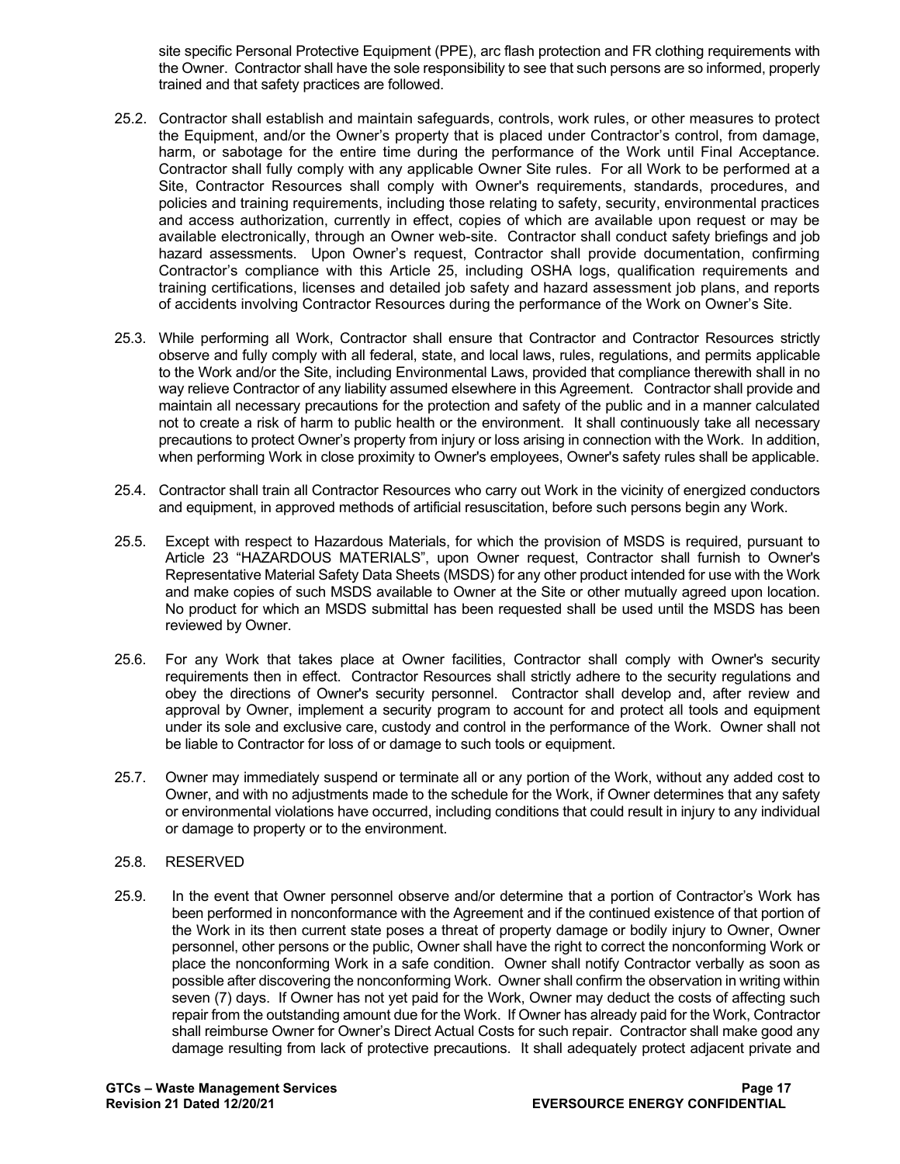site specific Personal Protective Equipment (PPE), arc flash protection and FR clothing requirements with the Owner. Contractor shall have the sole responsibility to see that such persons are so informed, properly trained and that safety practices are followed.

- 25.2. Contractor shall establish and maintain safeguards, controls, work rules, or other measures to protect the Equipment, and/or the Owner's property that is placed under Contractor's control, from damage, harm, or sabotage for the entire time during the performance of the Work until Final Acceptance. Contractor shall fully comply with any applicable Owner Site rules. For all Work to be performed at a Site, Contractor Resources shall comply with Owner's requirements, standards, procedures, and policies and training requirements, including those relating to safety, security, environmental practices and access authorization, currently in effect, copies of which are available upon request or may be available electronically, through an Owner web-site. Contractor shall conduct safety briefings and job hazard assessments. Upon Owner's request, Contractor shall provide documentation, confirming Contractor's compliance with this Article 25, including OSHA logs, qualification requirements and training certifications, licenses and detailed job safety and hazard assessment job plans, and reports of accidents involving Contractor Resources during the performance of the Work on Owner's Site.
- 25.3. While performing all Work, Contractor shall ensure that Contractor and Contractor Resources strictly observe and fully comply with all federal, state, and local laws, rules, regulations, and permits applicable to the Work and/or the Site, including Environmental Laws, provided that compliance therewith shall in no way relieve Contractor of any liability assumed elsewhere in this Agreement. Contractor shall provide and maintain all necessary precautions for the protection and safety of the public and in a manner calculated not to create a risk of harm to public health or the environment. It shall continuously take all necessary precautions to protect Owner's property from injury or loss arising in connection with the Work. In addition, when performing Work in close proximity to Owner's employees, Owner's safety rules shall be applicable.
- 25.4. Contractor shall train all Contractor Resources who carry out Work in the vicinity of energized conductors and equipment, in approved methods of artificial resuscitation, before such persons begin any Work.
- 25.5. Except with respect to Hazardous Materials, for which the provision of MSDS is required, pursuant to Article 23 "HAZARDOUS MATERIALS", upon Owner request, Contractor shall furnish to Owner's Representative Material Safety Data Sheets (MSDS) for any other product intended for use with the Work and make copies of such MSDS available to Owner at the Site or other mutually agreed upon location. No product for which an MSDS submittal has been requested shall be used until the MSDS has been reviewed by Owner.
- 25.6. For any Work that takes place at Owner facilities, Contractor shall comply with Owner's security requirements then in effect. Contractor Resources shall strictly adhere to the security regulations and obey the directions of Owner's security personnel. Contractor shall develop and, after review and approval by Owner, implement a security program to account for and protect all tools and equipment under its sole and exclusive care, custody and control in the performance of the Work. Owner shall not be liable to Contractor for loss of or damage to such tools or equipment.
- 25.7. Owner may immediately suspend or terminate all or any portion of the Work, without any added cost to Owner, and with no adjustments made to the schedule for the Work, if Owner determines that any safety or environmental violations have occurred, including conditions that could result in injury to any individual or damage to property or to the environment.

#### 25.8. RESERVED

25.9. In the event that Owner personnel observe and/or determine that a portion of Contractor's Work has been performed in nonconformance with the Agreement and if the continued existence of that portion of the Work in its then current state poses a threat of property damage or bodily injury to Owner, Owner personnel, other persons or the public, Owner shall have the right to correct the nonconforming Work or place the nonconforming Work in a safe condition. Owner shall notify Contractor verbally as soon as possible after discovering the nonconforming Work. Owner shall confirm the observation in writing within seven (7) days. If Owner has not yet paid for the Work, Owner may deduct the costs of affecting such repair from the outstanding amount due for the Work. If Owner has already paid for the Work, Contractor shall reimburse Owner for Owner's Direct Actual Costs for such repair. Contractor shall make good any damage resulting from lack of protective precautions. It shall adequately protect adjacent private and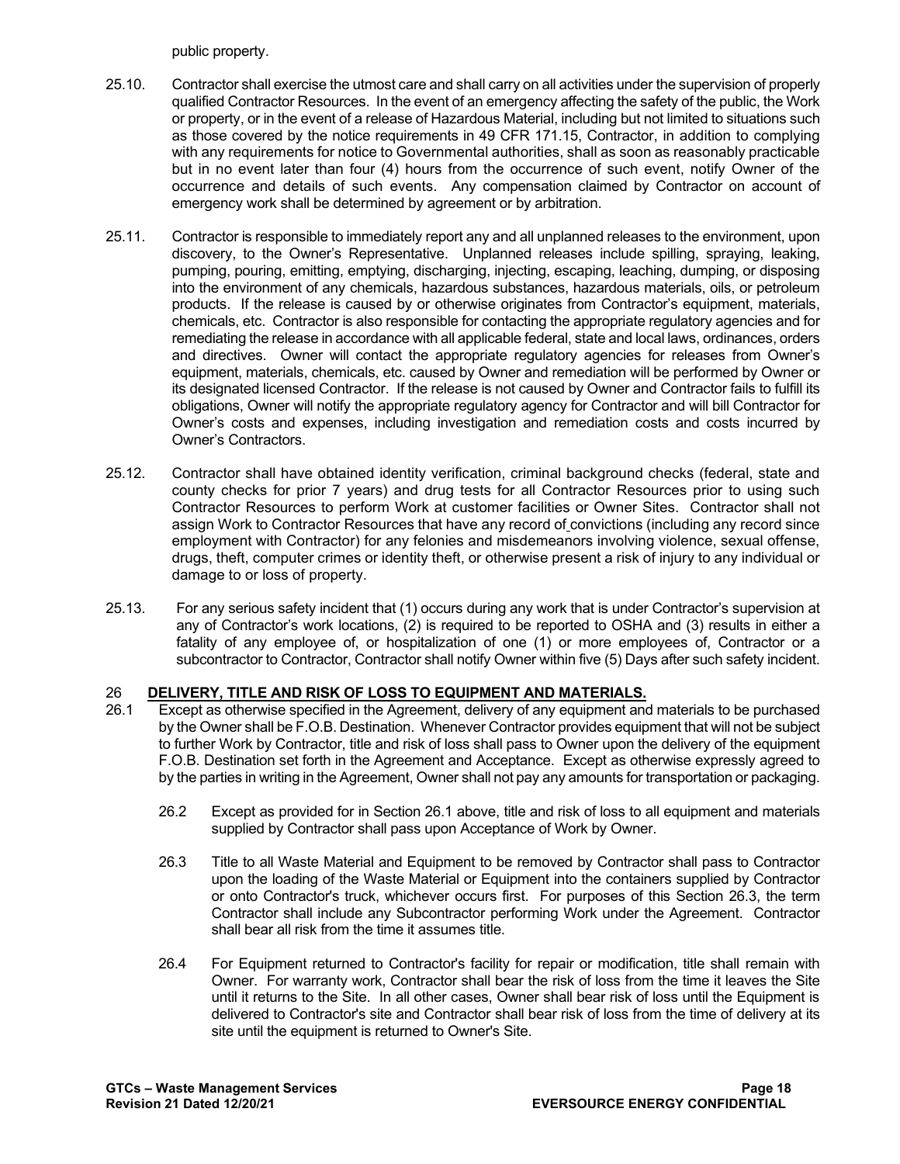public property.

- 25.10. Contractor shall exercise the utmost care and shall carry on all activities under the supervision of properly qualified Contractor Resources. In the event of an emergency affecting the safety of the public, the Work or property, or in the event of a release of Hazardous Material, including but not limited to situations such as those covered by the notice requirements in 49 CFR 171.15, Contractor, in addition to complying with any requirements for notice to Governmental authorities, shall as soon as reasonably practicable but in no event later than four (4) hours from the occurrence of such event, notify Owner of the occurrence and details of such events. Any compensation claimed by Contractor on account of emergency work shall be determined by agreement or by arbitration.
- 25.11. Contractor is responsible to immediately report any and all unplanned releases to the environment, upon discovery, to the Owner's Representative. Unplanned releases include spilling, spraying, leaking, pumping, pouring, emitting, emptying, discharging, injecting, escaping, leaching, dumping, or disposing into the environment of any chemicals, hazardous substances, hazardous materials, oils, or petroleum products. If the release is caused by or otherwise originates from Contractor's equipment, materials, chemicals, etc. Contractor is also responsible for contacting the appropriate regulatory agencies and for remediating the release in accordance with all applicable federal, state and local laws, ordinances, orders and directives. Owner will contact the appropriate regulatory agencies for releases from Owner's equipment, materials, chemicals, etc. caused by Owner and remediation will be performed by Owner or its designated licensed Contractor. If the release is not caused by Owner and Contractor fails to fulfill its obligations, Owner will notify the appropriate regulatory agency for Contractor and will bill Contractor for Owner's costs and expenses, including investigation and remediation costs and costs incurred by Owner's Contractors.
- 25.12. Contractor shall have obtained identity verification, criminal background checks (federal, state and county checks for prior 7 years) and drug tests for all Contractor Resources prior to using such Contractor Resources to perform Work at customer facilities or Owner Sites. Contractor shall not assign Work to Contractor Resources that have any record of convictions (including any record since employment with Contractor) for any felonies and misdemeanors involving violence, sexual offense, drugs, theft, computer crimes or identity theft, or otherwise present a risk of injury to any individual or damage to or loss of property.
- 25.13. For any serious safety incident that (1) occurs during any work that is under Contractor's supervision at any of Contractor's work locations, (2) is required to be reported to OSHA and (3) results in either a fatality of any employee of, or hospitalization of one (1) or more employees of, Contractor or a subcontractor to Contractor, Contractor shall notify Owner within five (5) Days after such safety incident.

## 26 **DELIVERY, TITLE AND RISK OF LOSS TO EQUIPMENT AND MATERIALS.**

- 26.1 Except as otherwise specified in the Agreement, delivery of any equipment and materials to be purchased by the Owner shall be F.O.B. Destination. Whenever Contractor provides equipment that will not be subject to further Work by Contractor, title and risk of loss shall pass to Owner upon the delivery of the equipment F.O.B. Destination set forth in the Agreement and Acceptance. Except as otherwise expressly agreed to by the parties in writing in the Agreement, Owner shall not pay any amounts for transportation or packaging.
	- 26.2 Except as provided for in Section 26.1 above, title and risk of loss to all equipment and materials supplied by Contractor shall pass upon Acceptance of Work by Owner.
	- 26.3 Title to all Waste Material and Equipment to be removed by Contractor shall pass to Contractor upon the loading of the Waste Material or Equipment into the containers supplied by Contractor or onto Contractor's truck, whichever occurs first. For purposes of this Section 26.3, the term Contractor shall include any Subcontractor performing Work under the Agreement. Contractor shall bear all risk from the time it assumes title.
	- 26.4 For Equipment returned to Contractor's facility for repair or modification, title shall remain with Owner. For warranty work, Contractor shall bear the risk of loss from the time it leaves the Site until it returns to the Site. In all other cases, Owner shall bear risk of loss until the Equipment is delivered to Contractor's site and Contractor shall bear risk of loss from the time of delivery at its site until the equipment is returned to Owner's Site.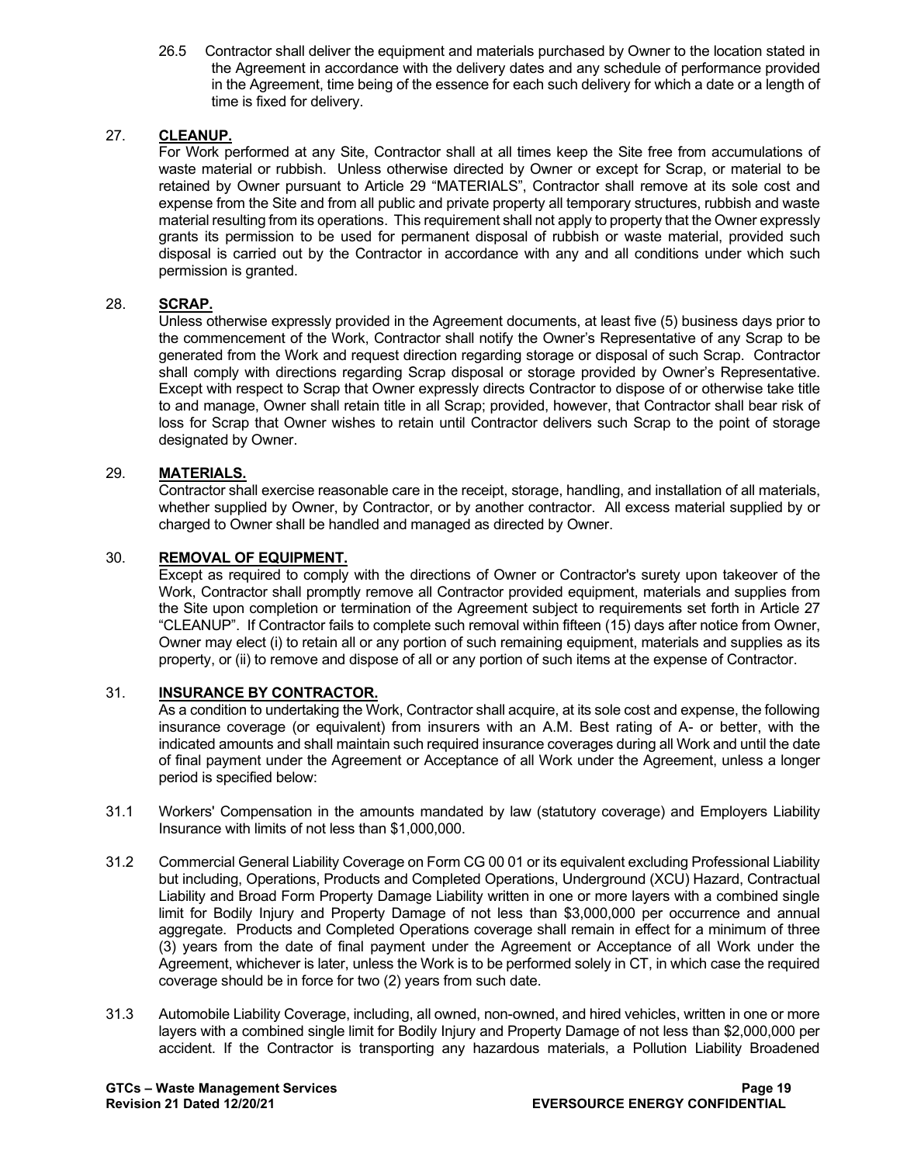26.5 Contractor shall deliver the equipment and materials purchased by Owner to the location stated in the Agreement in accordance with the delivery dates and any schedule of performance provided in the Agreement, time being of the essence for each such delivery for which a date or a length of time is fixed for delivery.

### 27. **CLEANUP.**

For Work performed at any Site, Contractor shall at all times keep the Site free from accumulations of waste material or rubbish. Unless otherwise directed by Owner or except for Scrap, or material to be retained by Owner pursuant to Article 29 "MATERIALS", Contractor shall remove at its sole cost and expense from the Site and from all public and private property all temporary structures, rubbish and waste material resulting from its operations. This requirement shall not apply to property that the Owner expressly grants its permission to be used for permanent disposal of rubbish or waste material, provided such disposal is carried out by the Contractor in accordance with any and all conditions under which such permission is granted.

#### 28. **SCRAP.**

Unless otherwise expressly provided in the Agreement documents, at least five (5) business days prior to the commencement of the Work, Contractor shall notify the Owner's Representative of any Scrap to be generated from the Work and request direction regarding storage or disposal of such Scrap. Contractor shall comply with directions regarding Scrap disposal or storage provided by Owner's Representative. Except with respect to Scrap that Owner expressly directs Contractor to dispose of or otherwise take title to and manage, Owner shall retain title in all Scrap; provided, however, that Contractor shall bear risk of loss for Scrap that Owner wishes to retain until Contractor delivers such Scrap to the point of storage designated by Owner.

#### 29. **MATERIALS.**

Contractor shall exercise reasonable care in the receipt, storage, handling, and installation of all materials, whether supplied by Owner, by Contractor, or by another contractor. All excess material supplied by or charged to Owner shall be handled and managed as directed by Owner.

#### 30. **REMOVAL OF EQUIPMENT.**

Except as required to comply with the directions of Owner or Contractor's surety upon takeover of the Work, Contractor shall promptly remove all Contractor provided equipment, materials and supplies from the Site upon completion or termination of the Agreement subject to requirements set forth in Article 27 "CLEANUP". If Contractor fails to complete such removal within fifteen (15) days after notice from Owner, Owner may elect (i) to retain all or any portion of such remaining equipment, materials and supplies as its property, or (ii) to remove and dispose of all or any portion of such items at the expense of Contractor.

#### 31. **INSURANCE BY CONTRACTOR.**

As a condition to undertaking the Work, Contractor shall acquire, at its sole cost and expense, the following insurance coverage (or equivalent) from insurers with an A.M. Best rating of A- or better, with the indicated amounts and shall maintain such required insurance coverages during all Work and until the date of final payment under the Agreement or Acceptance of all Work under the Agreement, unless a longer period is specified below:

- 31.1 Workers' Compensation in the amounts mandated by law (statutory coverage) and Employers Liability Insurance with limits of not less than \$1,000,000.
- 31.2 Commercial General Liability Coverage on Form CG 00 01 or its equivalent excluding Professional Liability but including, Operations, Products and Completed Operations, Underground (XCU) Hazard, Contractual Liability and Broad Form Property Damage Liability written in one or more layers with a combined single limit for Bodily Injury and Property Damage of not less than \$3,000,000 per occurrence and annual aggregate. Products and Completed Operations coverage shall remain in effect for a minimum of three (3) years from the date of final payment under the Agreement or Acceptance of all Work under the Agreement, whichever is later, unless the Work is to be performed solely in CT, in which case the required coverage should be in force for two (2) years from such date.
- 31.3 Automobile Liability Coverage, including, all owned, non-owned, and hired vehicles, written in one or more layers with a combined single limit for Bodily Injury and Property Damage of not less than \$2,000,000 per accident. If the Contractor is transporting any hazardous materials, a Pollution Liability Broadened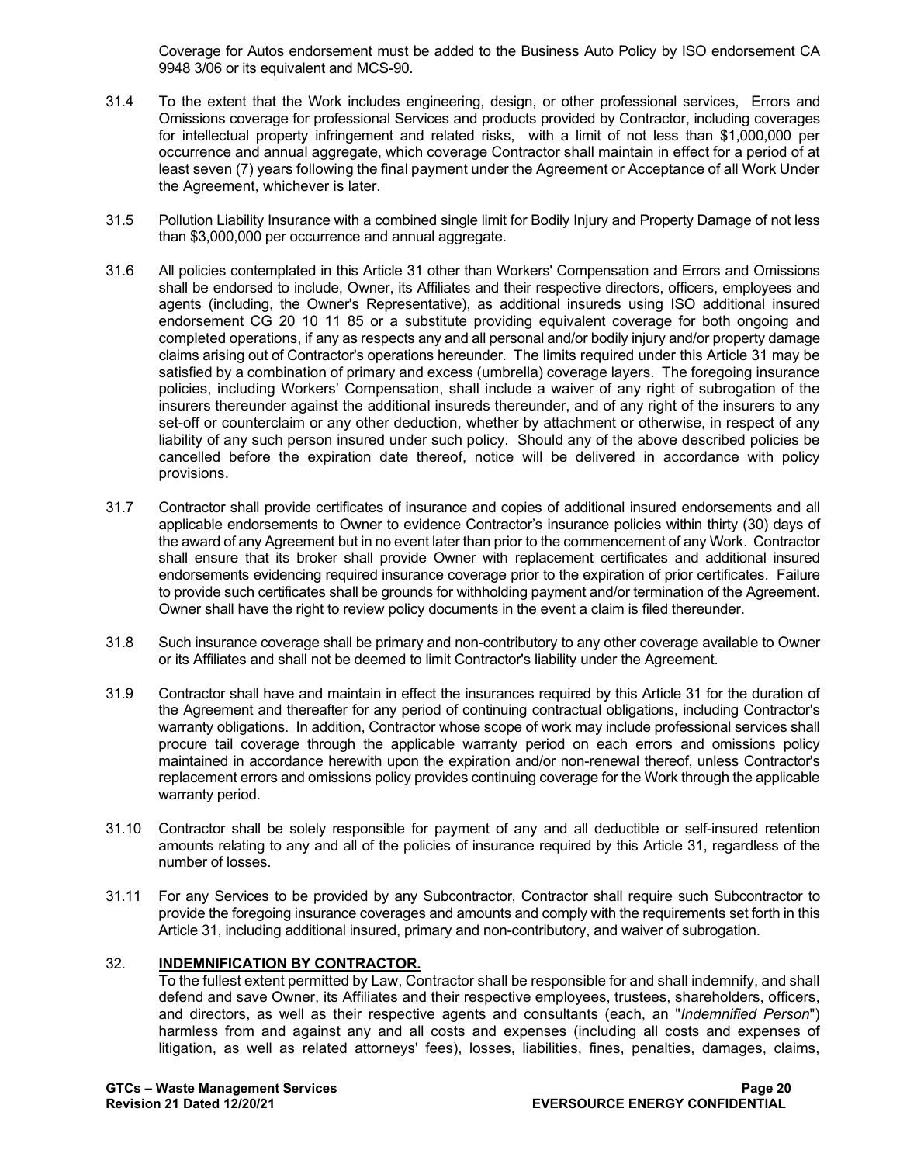Coverage for Autos endorsement must be added to the Business Auto Policy by ISO endorsement CA 9948 3/06 or its equivalent and MCS-90.

- 31.4 To the extent that the Work includes engineering, design, or other professional services, Errors and Omissions coverage for professional Services and products provided by Contractor, including coverages for intellectual property infringement and related risks, with a limit of not less than \$1,000,000 per occurrence and annual aggregate, which coverage Contractor shall maintain in effect for a period of at least seven (7) years following the final payment under the Agreement or Acceptance of all Work Under the Agreement, whichever is later.
- 31.5 Pollution Liability Insurance with a combined single limit for Bodily Injury and Property Damage of not less than \$3,000,000 per occurrence and annual aggregate.
- 31.6 All policies contemplated in this Article 31 other than Workers' Compensation and Errors and Omissions shall be endorsed to include, Owner, its Affiliates and their respective directors, officers, employees and agents (including, the Owner's Representative), as additional insureds using ISO additional insured endorsement CG 20 10 11 85 or a substitute providing equivalent coverage for both ongoing and completed operations, if any as respects any and all personal and/or bodily injury and/or property damage claims arising out of Contractor's operations hereunder. The limits required under this Article 31 may be satisfied by a combination of primary and excess (umbrella) coverage layers. The foregoing insurance policies, including Workers' Compensation, shall include a waiver of any right of subrogation of the insurers thereunder against the additional insureds thereunder, and of any right of the insurers to any set-off or counterclaim or any other deduction, whether by attachment or otherwise, in respect of any liability of any such person insured under such policy. Should any of the above described policies be cancelled before the expiration date thereof, notice will be delivered in accordance with policy provisions.
- 31.7 Contractor shall provide certificates of insurance and copies of additional insured endorsements and all applicable endorsements to Owner to evidence Contractor's insurance policies within thirty (30) days of the award of any Agreement but in no event later than prior to the commencement of any Work. Contractor shall ensure that its broker shall provide Owner with replacement certificates and additional insured endorsements evidencing required insurance coverage prior to the expiration of prior certificates. Failure to provide such certificates shall be grounds for withholding payment and/or termination of the Agreement. Owner shall have the right to review policy documents in the event a claim is filed thereunder.
- 31.8 Such insurance coverage shall be primary and non-contributory to any other coverage available to Owner or its Affiliates and shall not be deemed to limit Contractor's liability under the Agreement.
- 31.9 Contractor shall have and maintain in effect the insurances required by this Article 31 for the duration of the Agreement and thereafter for any period of continuing contractual obligations, including Contractor's warranty obligations. In addition, Contractor whose scope of work may include professional services shall procure tail coverage through the applicable warranty period on each errors and omissions policy maintained in accordance herewith upon the expiration and/or non-renewal thereof, unless Contractor's replacement errors and omissions policy provides continuing coverage for the Work through the applicable warranty period.
- 31.10 Contractor shall be solely responsible for payment of any and all deductible or self-insured retention amounts relating to any and all of the policies of insurance required by this Article 31, regardless of the number of losses.
- 31.11 For any Services to be provided by any Subcontractor, Contractor shall require such Subcontractor to provide the foregoing insurance coverages and amounts and comply with the requirements set forth in this Article 31, including additional insured, primary and non-contributory, and waiver of subrogation.

## 32. **INDEMNIFICATION BY CONTRACTOR.**

To the fullest extent permitted by Law, Contractor shall be responsible for and shall indemnify, and shall defend and save Owner, its Affiliates and their respective employees, trustees, shareholders, officers, and directors, as well as their respective agents and consultants (each, an "*Indemnified Person*") harmless from and against any and all costs and expenses (including all costs and expenses of litigation, as well as related attorneys' fees), losses, liabilities, fines, penalties, damages, claims,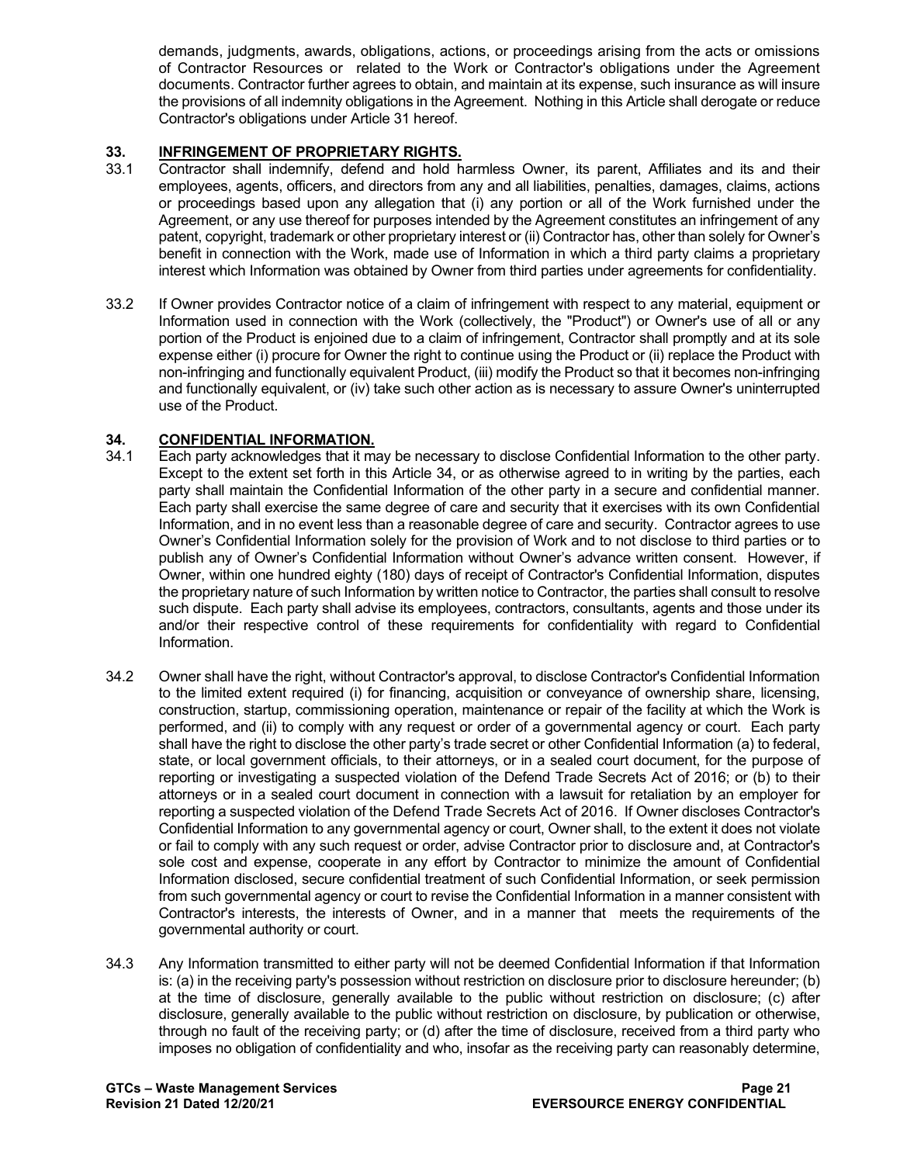demands, judgments, awards, obligations, actions, or proceedings arising from the acts or omissions of Contractor Resources or related to the Work or Contractor's obligations under the Agreement documents. Contractor further agrees to obtain, and maintain at its expense, such insurance as will insure the provisions of all indemnity obligations in the Agreement. Nothing in this Article shall derogate or reduce Contractor's obligations under Article 31 hereof.

# **33. INFRINGEMENT OF PROPRIETARY RIGHTS.**<br>33.1 Contractor shall indemnify, defend and hold h

- Contractor shall indemnify, defend and hold harmless Owner, its parent, Affiliates and its and their employees, agents, officers, and directors from any and all liabilities, penalties, damages, claims, actions or proceedings based upon any allegation that (i) any portion or all of the Work furnished under the Agreement, or any use thereof for purposes intended by the Agreement constitutes an infringement of any patent, copyright, trademark or other proprietary interest or (ii) Contractor has, other than solely for Owner's benefit in connection with the Work, made use of Information in which a third party claims a proprietary interest which Information was obtained by Owner from third parties under agreements for confidentiality.
- 33.2 If Owner provides Contractor notice of a claim of infringement with respect to any material, equipment or Information used in connection with the Work (collectively, the "Product") or Owner's use of all or any portion of the Product is enjoined due to a claim of infringement, Contractor shall promptly and at its sole expense either (i) procure for Owner the right to continue using the Product or (ii) replace the Product with non-infringing and functionally equivalent Product, (iii) modify the Product so that it becomes non-infringing and functionally equivalent, or (iv) take such other action as is necessary to assure Owner's uninterrupted use of the Product.

# **34. CONFIDENTIAL INFORMATION.**

- Each party acknowledges that it may be necessary to disclose Confidential Information to the other party. Except to the extent set forth in this Article 34, or as otherwise agreed to in writing by the parties, each party shall maintain the Confidential Information of the other party in a secure and confidential manner. Each party shall exercise the same degree of care and security that it exercises with its own Confidential Information, and in no event less than a reasonable degree of care and security. Contractor agrees to use Owner's Confidential Information solely for the provision of Work and to not disclose to third parties or to publish any of Owner's Confidential Information without Owner's advance written consent. However, if Owner, within one hundred eighty (180) days of receipt of Contractor's Confidential Information, disputes the proprietary nature of such Information by written notice to Contractor, the parties shall consult to resolve such dispute. Each party shall advise its employees, contractors, consultants, agents and those under its and/or their respective control of these requirements for confidentiality with regard to Confidential Information.
- 34.2 Owner shall have the right, without Contractor's approval, to disclose Contractor's Confidential Information to the limited extent required (i) for financing, acquisition or conveyance of ownership share, licensing, construction, startup, commissioning operation, maintenance or repair of the facility at which the Work is performed, and (ii) to comply with any request or order of a governmental agency or court. Each party shall have the right to disclose the other party's trade secret or other Confidential Information (a) to federal, state, or local government officials, to their attorneys, or in a sealed court document, for the purpose of reporting or investigating a suspected violation of the Defend Trade Secrets Act of 2016; or (b) to their attorneys or in a sealed court document in connection with a lawsuit for retaliation by an employer for reporting a suspected violation of the Defend Trade Secrets Act of 2016. If Owner discloses Contractor's Confidential Information to any governmental agency or court, Owner shall, to the extent it does not violate or fail to comply with any such request or order, advise Contractor prior to disclosure and, at Contractor's sole cost and expense, cooperate in any effort by Contractor to minimize the amount of Confidential Information disclosed, secure confidential treatment of such Confidential Information, or seek permission from such governmental agency or court to revise the Confidential Information in a manner consistent with Contractor's interests, the interests of Owner, and in a manner that meets the requirements of the governmental authority or court.
- 34.3 Any Information transmitted to either party will not be deemed Confidential Information if that Information is: (a) in the receiving party's possession without restriction on disclosure prior to disclosure hereunder; (b) at the time of disclosure, generally available to the public without restriction on disclosure; (c) after disclosure, generally available to the public without restriction on disclosure, by publication or otherwise, through no fault of the receiving party; or (d) after the time of disclosure, received from a third party who imposes no obligation of confidentiality and who, insofar as the receiving party can reasonably determine,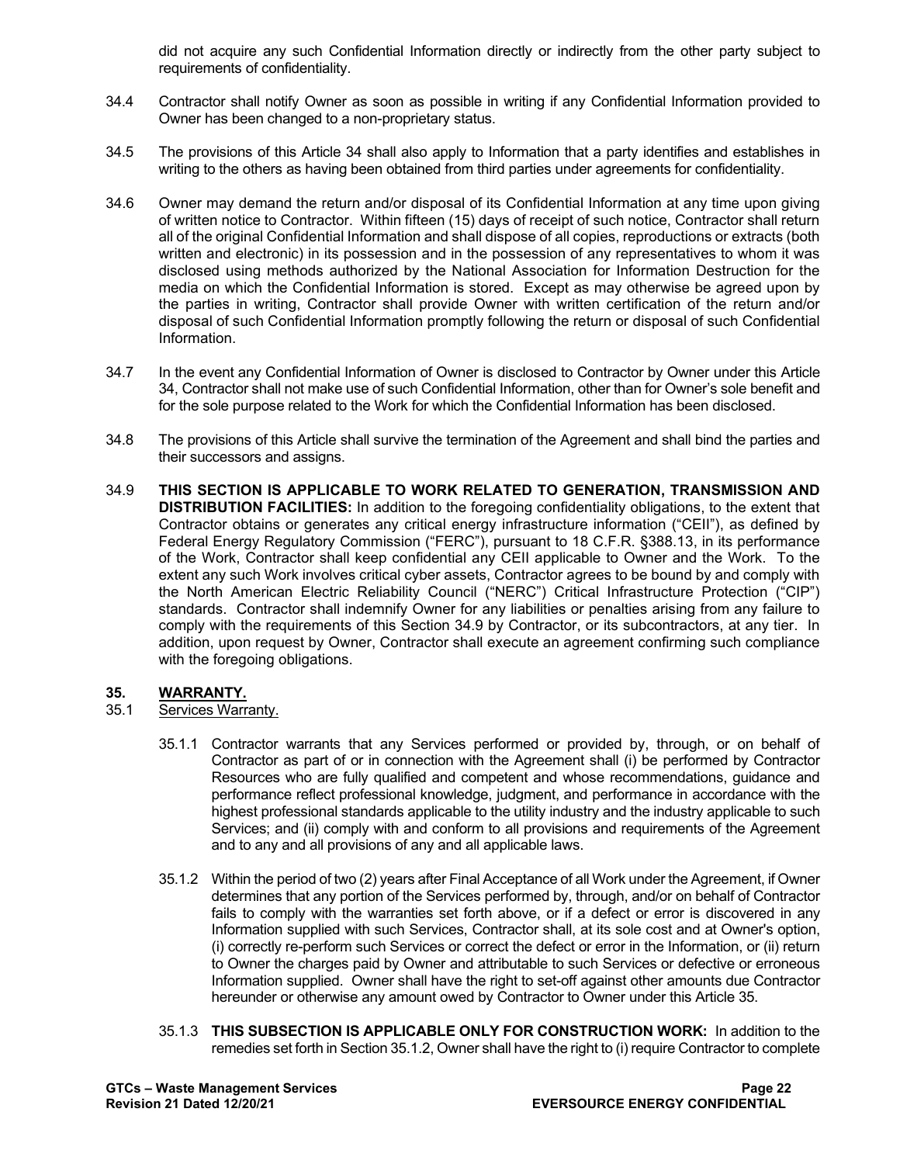did not acquire any such Confidential Information directly or indirectly from the other party subject to requirements of confidentiality.

- 34.4 Contractor shall notify Owner as soon as possible in writing if any Confidential Information provided to Owner has been changed to a non-proprietary status.
- 34.5 The provisions of this Article 34 shall also apply to Information that a party identifies and establishes in writing to the others as having been obtained from third parties under agreements for confidentiality.
- 34.6 Owner may demand the return and/or disposal of its Confidential Information at any time upon giving of written notice to Contractor. Within fifteen (15) days of receipt of such notice, Contractor shall return all of the original Confidential Information and shall dispose of all copies, reproductions or extracts (both written and electronic) in its possession and in the possession of any representatives to whom it was disclosed using methods authorized by the National Association for Information Destruction for the media on which the Confidential Information is stored. Except as may otherwise be agreed upon by the parties in writing, Contractor shall provide Owner with written certification of the return and/or disposal of such Confidential Information promptly following the return or disposal of such Confidential Information.
- 34.7 In the event any Confidential Information of Owner is disclosed to Contractor by Owner under this Article 34, Contractor shall not make use of such Confidential Information, other than for Owner's sole benefit and for the sole purpose related to the Work for which the Confidential Information has been disclosed.
- 34.8 The provisions of this Article shall survive the termination of the Agreement and shall bind the parties and their successors and assigns.
- 34.9 **THIS SECTION IS APPLICABLE TO WORK RELATED TO GENERATION, TRANSMISSION AND DISTRIBUTION FACILITIES:** In addition to the foregoing confidentiality obligations, to the extent that Contractor obtains or generates any critical energy infrastructure information ("CEII"), as defined by Federal Energy Regulatory Commission ("FERC"), pursuant to 18 C.F.R. §388.13, in its performance of the Work, Contractor shall keep confidential any CEII applicable to Owner and the Work. To the extent any such Work involves critical cyber assets, Contractor agrees to be bound by and comply with the North American Electric Reliability Council ("NERC") Critical Infrastructure Protection ("CIP") standards. Contractor shall indemnify Owner for any liabilities or penalties arising from any failure to comply with the requirements of this Section 34.9 by Contractor, or its subcontractors, at any tier. In addition, upon request by Owner, Contractor shall execute an agreement confirming such compliance with the foregoing obligations.

#### **35. WARRANTY.**

- 35.1 Services Warranty.
	- 35.1.1 Contractor warrants that any Services performed or provided by, through, or on behalf of Contractor as part of or in connection with the Agreement shall (i) be performed by Contractor Resources who are fully qualified and competent and whose recommendations, guidance and performance reflect professional knowledge, judgment, and performance in accordance with the highest professional standards applicable to the utility industry and the industry applicable to such Services; and (ii) comply with and conform to all provisions and requirements of the Agreement and to any and all provisions of any and all applicable laws.
	- 35.1.2 Within the period of two (2) years after Final Acceptance of all Work under the Agreement, if Owner determines that any portion of the Services performed by, through, and/or on behalf of Contractor fails to comply with the warranties set forth above, or if a defect or error is discovered in any Information supplied with such Services, Contractor shall, at its sole cost and at Owner's option, (i) correctly re-perform such Services or correct the defect or error in the Information, or (ii) return to Owner the charges paid by Owner and attributable to such Services or defective or erroneous Information supplied. Owner shall have the right to set-off against other amounts due Contractor hereunder or otherwise any amount owed by Contractor to Owner under this Article 35.
	- 35.1.3 **THIS SUBSECTION IS APPLICABLE ONLY FOR CONSTRUCTION WORK:** In addition to the remedies set forth in Section 35.1.2, Owner shall have the right to (i) require Contractor to complete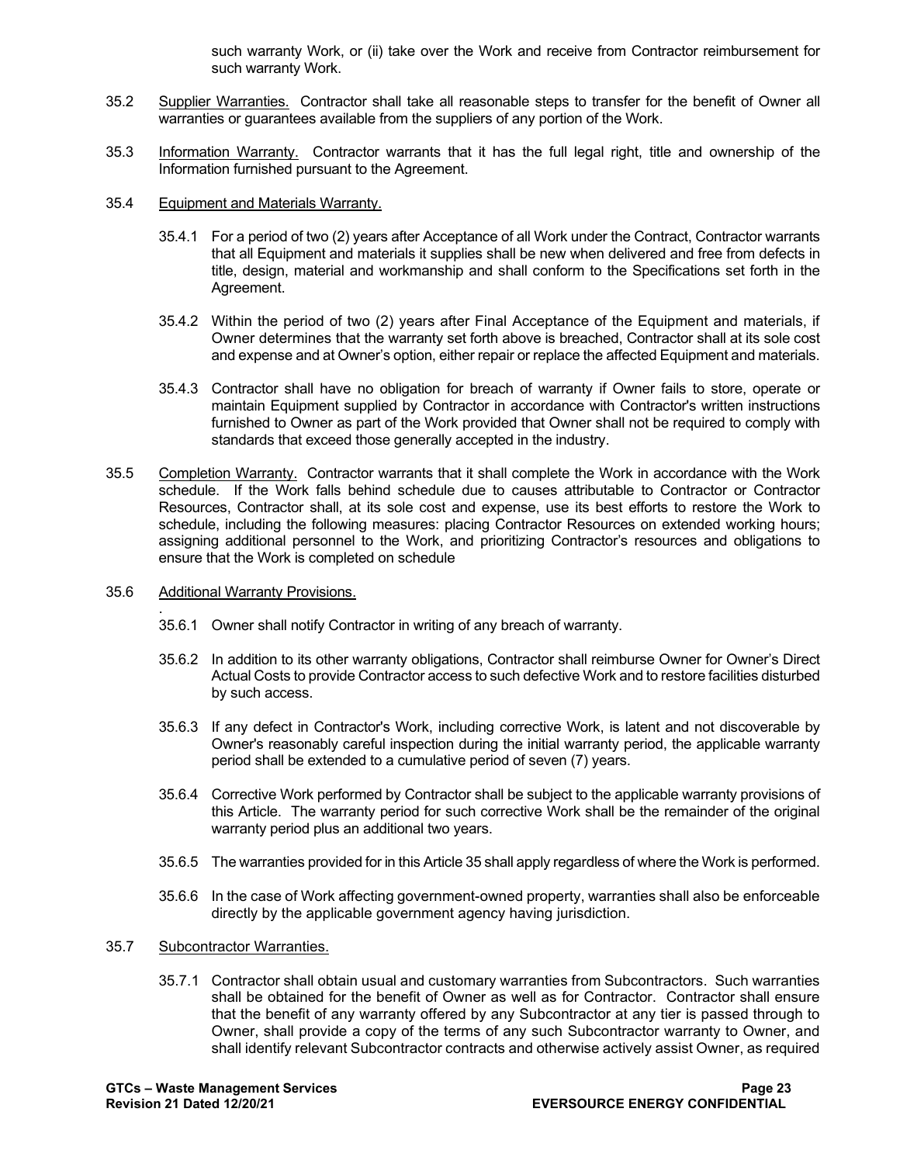such warranty Work, or (ii) take over the Work and receive from Contractor reimbursement for such warranty Work.

- 35.2 Supplier Warranties. Contractor shall take all reasonable steps to transfer for the benefit of Owner all warranties or guarantees available from the suppliers of any portion of the Work.
- 35.3 Information Warranty. Contractor warrants that it has the full legal right, title and ownership of the Information furnished pursuant to the Agreement.
- 35.4 Equipment and Materials Warranty.
	- 35.4.1 For a period of two (2) years after Acceptance of all Work under the Contract, Contractor warrants that all Equipment and materials it supplies shall be new when delivered and free from defects in title, design, material and workmanship and shall conform to the Specifications set forth in the Agreement.
	- 35.4.2 Within the period of two (2) years after Final Acceptance of the Equipment and materials, if Owner determines that the warranty set forth above is breached, Contractor shall at its sole cost and expense and at Owner's option, either repair or replace the affected Equipment and materials.
	- 35.4.3 Contractor shall have no obligation for breach of warranty if Owner fails to store, operate or maintain Equipment supplied by Contractor in accordance with Contractor's written instructions furnished to Owner as part of the Work provided that Owner shall not be required to comply with standards that exceed those generally accepted in the industry.
- 35.5 Completion Warranty. Contractor warrants that it shall complete the Work in accordance with the Work schedule. If the Work falls behind schedule due to causes attributable to Contractor or Contractor Resources, Contractor shall, at its sole cost and expense, use its best efforts to restore the Work to schedule, including the following measures: placing Contractor Resources on extended working hours; assigning additional personnel to the Work, and prioritizing Contractor's resources and obligations to ensure that the Work is completed on schedule
- 35.6 Additional Warranty Provisions.
	- . 35.6.1 Owner shall notify Contractor in writing of any breach of warranty.
	- 35.6.2 In addition to its other warranty obligations, Contractor shall reimburse Owner for Owner's Direct Actual Costs to provide Contractor access to such defective Work and to restore facilities disturbed by such access.
	- 35.6.3 If any defect in Contractor's Work, including corrective Work, is latent and not discoverable by Owner's reasonably careful inspection during the initial warranty period, the applicable warranty period shall be extended to a cumulative period of seven (7) years.
	- 35.6.4 Corrective Work performed by Contractor shall be subject to the applicable warranty provisions of this Article. The warranty period for such corrective Work shall be the remainder of the original warranty period plus an additional two years.
	- 35.6.5 The warranties provided for in this Article 35 shall apply regardless of where the Work is performed.
	- 35.6.6 In the case of Work affecting government-owned property, warranties shall also be enforceable directly by the applicable government agency having jurisdiction.
- 35.7 Subcontractor Warranties.
	- 35.7.1 Contractor shall obtain usual and customary warranties from Subcontractors. Such warranties shall be obtained for the benefit of Owner as well as for Contractor. Contractor shall ensure that the benefit of any warranty offered by any Subcontractor at any tier is passed through to Owner, shall provide a copy of the terms of any such Subcontractor warranty to Owner, and shall identify relevant Subcontractor contracts and otherwise actively assist Owner, as required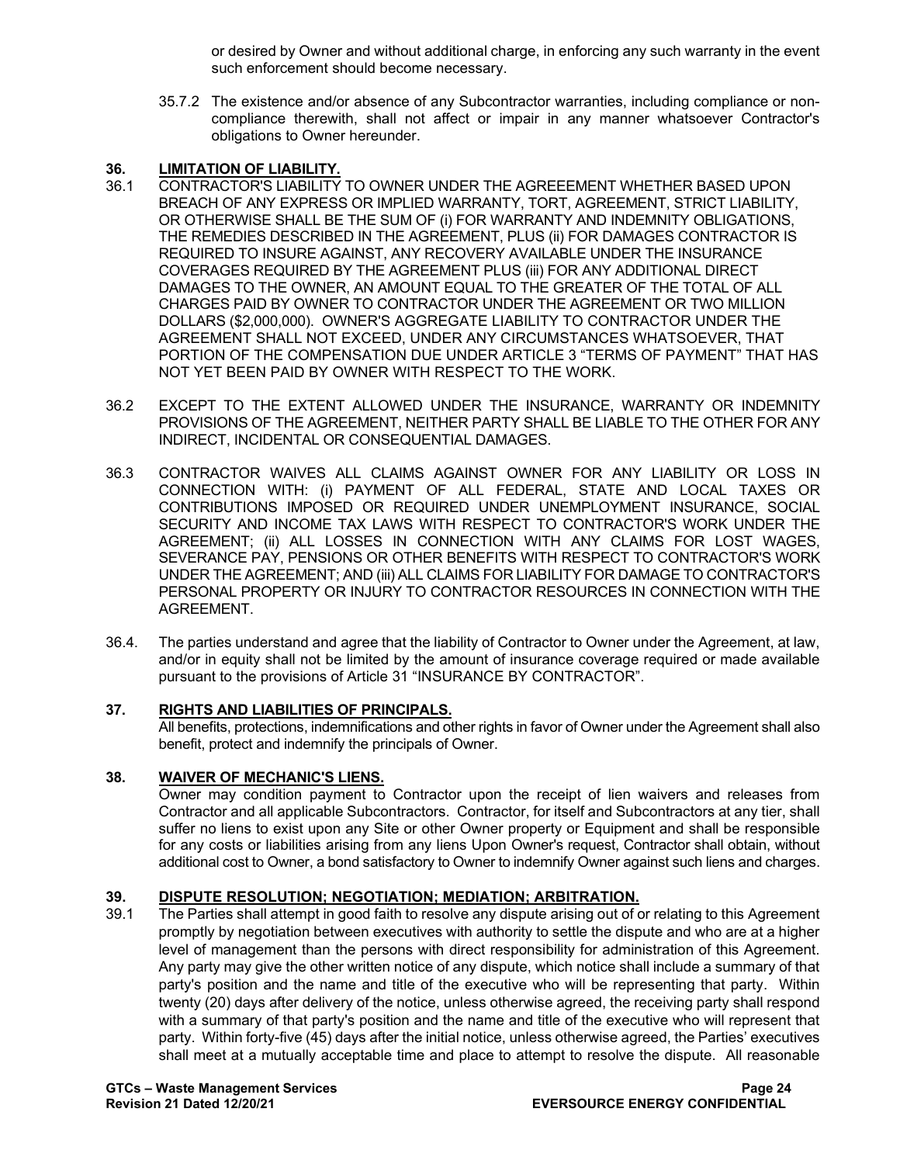or desired by Owner and without additional charge, in enforcing any such warranty in the event such enforcement should become necessary.

35.7.2 The existence and/or absence of any Subcontractor warranties, including compliance or noncompliance therewith, shall not affect or impair in any manner whatsoever Contractor's obligations to Owner hereunder.

# **36. LIMITATION OF LIABILITY.**

- 36.1 CONTRACTOR'S LIABILITY TO OWNER UNDER THE AGREEEMENT WHETHER BASED UPON BREACH OF ANY EXPRESS OR IMPLIED WARRANTY, TORT, AGREEMENT, STRICT LIABILITY, OR OTHERWISE SHALL BE THE SUM OF (i) FOR WARRANTY AND INDEMNITY OBLIGATIONS, THE REMEDIES DESCRIBED IN THE AGREEMENT, PLUS (ii) FOR DAMAGES CONTRACTOR IS REQUIRED TO INSURE AGAINST, ANY RECOVERY AVAILABLE UNDER THE INSURANCE COVERAGES REQUIRED BY THE AGREEMENT PLUS (iii) FOR ANY ADDITIONAL DIRECT DAMAGES TO THE OWNER, AN AMOUNT EQUAL TO THE GREATER OF THE TOTAL OF ALL CHARGES PAID BY OWNER TO CONTRACTOR UNDER THE AGREEMENT OR TWO MILLION DOLLARS (\$2,000,000). OWNER'S AGGREGATE LIABILITY TO CONTRACTOR UNDER THE AGREEMENT SHALL NOT EXCEED, UNDER ANY CIRCUMSTANCES WHATSOEVER, THAT PORTION OF THE COMPENSATION DUE UNDER ARTICLE 3 "TERMS OF PAYMENT" THAT HAS NOT YET BEEN PAID BY OWNER WITH RESPECT TO THE WORK.
- 36.2 EXCEPT TO THE EXTENT ALLOWED UNDER THE INSURANCE, WARRANTY OR INDEMNITY PROVISIONS OF THE AGREEMENT, NEITHER PARTY SHALL BE LIABLE TO THE OTHER FOR ANY INDIRECT, INCIDENTAL OR CONSEQUENTIAL DAMAGES.
- 36.3 CONTRACTOR WAIVES ALL CLAIMS AGAINST OWNER FOR ANY LIABILITY OR LOSS IN CONNECTION WITH: (i) PAYMENT OF ALL FEDERAL, STATE AND LOCAL TAXES OR CONTRIBUTIONS IMPOSED OR REQUIRED UNDER UNEMPLOYMENT INSURANCE, SOCIAL SECURITY AND INCOME TAX LAWS WITH RESPECT TO CONTRACTOR'S WORK UNDER THE AGREEMENT; (ii) ALL LOSSES IN CONNECTION WITH ANY CLAIMS FOR LOST WAGES, SEVERANCE PAY, PENSIONS OR OTHER BENEFITS WITH RESPECT TO CONTRACTOR'S WORK UNDER THE AGREEMENT; AND (iii) ALL CLAIMS FOR LIABILITY FOR DAMAGE TO CONTRACTOR'S PERSONAL PROPERTY OR INJURY TO CONTRACTOR RESOURCES IN CONNECTION WITH THE AGREEMENT.
- 36.4. The parties understand and agree that the liability of Contractor to Owner under the Agreement, at law, and/or in equity shall not be limited by the amount of insurance coverage required or made available pursuant to the provisions of Article 31 "INSURANCE BY CONTRACTOR".

## **37. RIGHTS AND LIABILITIES OF PRINCIPALS.**

All benefits, protections, indemnifications and other rights in favor of Owner under the Agreement shall also benefit, protect and indemnify the principals of Owner.

## **38. WAIVER OF MECHANIC'S LIENS.**

Owner may condition payment to Contractor upon the receipt of lien waivers and releases from Contractor and all applicable Subcontractors. Contractor, for itself and Subcontractors at any tier, shall suffer no liens to exist upon any Site or other Owner property or Equipment and shall be responsible for any costs or liabilities arising from any liens Upon Owner's request, Contractor shall obtain, without additional cost to Owner, a bond satisfactory to Owner to indemnify Owner against such liens and charges.

# **39. DISPUTE RESOLUTION; NEGOTIATION; MEDIATION; ARBITRATION.**

The Parties shall attempt in good faith to resolve any dispute arising out of or relating to this Agreement promptly by negotiation between executives with authority to settle the dispute and who are at a higher level of management than the persons with direct responsibility for administration of this Agreement. Any party may give the other written notice of any dispute, which notice shall include a summary of that party's position and the name and title of the executive who will be representing that party. Within twenty (20) days after delivery of the notice, unless otherwise agreed, the receiving party shall respond with a summary of that party's position and the name and title of the executive who will represent that party. Within forty-five (45) days after the initial notice, unless otherwise agreed, the Parties' executives shall meet at a mutually acceptable time and place to attempt to resolve the dispute. All reasonable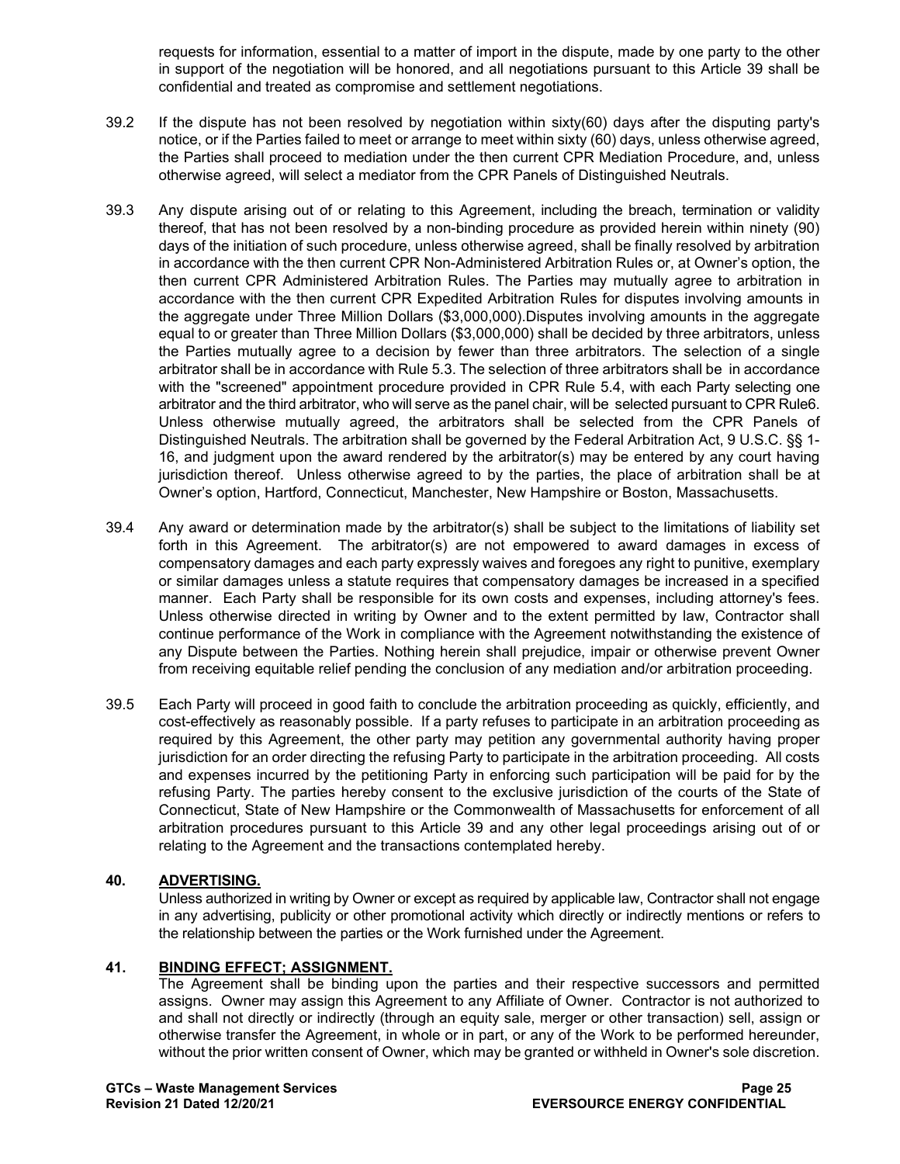requests for information, essential to a matter of import in the dispute, made by one party to the other in support of the negotiation will be honored, and all negotiations pursuant to this Article 39 shall be confidential and treated as compromise and settlement negotiations.

- 39.2 If the dispute has not been resolved by negotiation within sixty(60) days after the disputing party's notice, or if the Parties failed to meet or arrange to meet within sixty (60) days, unless otherwise agreed, the Parties shall proceed to mediation under the then current CPR Mediation Procedure, and, unless otherwise agreed, will select a mediator from the CPR Panels of Distinguished Neutrals.
- 39.3 Any dispute arising out of or relating to this Agreement, including the breach, termination or validity thereof, that has not been resolved by a non-binding procedure as provided herein within ninety (90) days of the initiation of such procedure, unless otherwise agreed, shall be finally resolved by arbitration in accordance with the then current CPR Non-Administered Arbitration Rules or, at Owner's option, the then current CPR Administered Arbitration Rules. The Parties may mutually agree to arbitration in accordance with the then current CPR Expedited Arbitration Rules for disputes involving amounts in the aggregate under Three Million Dollars (\$3,000,000).Disputes involving amounts in the aggregate equal to or greater than Three Million Dollars (\$3,000,000) shall be decided by three arbitrators, unless the Parties mutually agree to a decision by fewer than three arbitrators. The selection of a single arbitrator shall be in accordance with Rule 5.3. The selection of three arbitrators shall be in accordance with the "screened" appointment procedure provided in CPR Rule 5.4, with each Party selecting one arbitrator and the third arbitrator, who will serve as the panel chair, will be selected pursuant to CPR Rule6. Unless otherwise mutually agreed, the arbitrators shall be selected from the CPR Panels of Distinguished Neutrals. The arbitration shall be governed by the Federal Arbitration Act, 9 U.S.C. §§ 1- 16, and judgment upon the award rendered by the arbitrator(s) may be entered by any court having jurisdiction thereof. Unless otherwise agreed to by the parties, the place of arbitration shall be at Owner's option, Hartford, Connecticut, Manchester, New Hampshire or Boston, Massachusetts.
- 39.4 Any award or determination made by the arbitrator(s) shall be subject to the limitations of liability set forth in this Agreement. The arbitrator(s) are not empowered to award damages in excess of compensatory damages and each party expressly waives and foregoes any right to punitive, exemplary or similar damages unless a statute requires that compensatory damages be increased in a specified manner. Each Party shall be responsible for its own costs and expenses, including attorney's fees. Unless otherwise directed in writing by Owner and to the extent permitted by law, Contractor shall continue performance of the Work in compliance with the Agreement notwithstanding the existence of any Dispute between the Parties. Nothing herein shall prejudice, impair or otherwise prevent Owner from receiving equitable relief pending the conclusion of any mediation and/or arbitration proceeding.
- 39.5 Each Party will proceed in good faith to conclude the arbitration proceeding as quickly, efficiently, and cost-effectively as reasonably possible. If a party refuses to participate in an arbitration proceeding as required by this Agreement, the other party may petition any governmental authority having proper jurisdiction for an order directing the refusing Party to participate in the arbitration proceeding. All costs and expenses incurred by the petitioning Party in enforcing such participation will be paid for by the refusing Party. The parties hereby consent to the exclusive jurisdiction of the courts of the State of Connecticut, State of New Hampshire or the Commonwealth of Massachusetts for enforcement of all arbitration procedures pursuant to this Article 39 and any other legal proceedings arising out of or relating to the Agreement and the transactions contemplated hereby.

## **40. ADVERTISING.**

Unless authorized in writing by Owner or except as required by applicable law, Contractor shall not engage in any advertising, publicity or other promotional activity which directly or indirectly mentions or refers to the relationship between the parties or the Work furnished under the Agreement.

## **41. BINDING EFFECT; ASSIGNMENT.**

The Agreement shall be binding upon the parties and their respective successors and permitted assigns. Owner may assign this Agreement to any Affiliate of Owner. Contractor is not authorized to and shall not directly or indirectly (through an equity sale, merger or other transaction) sell, assign or otherwise transfer the Agreement, in whole or in part, or any of the Work to be performed hereunder, without the prior written consent of Owner, which may be granted or withheld in Owner's sole discretion.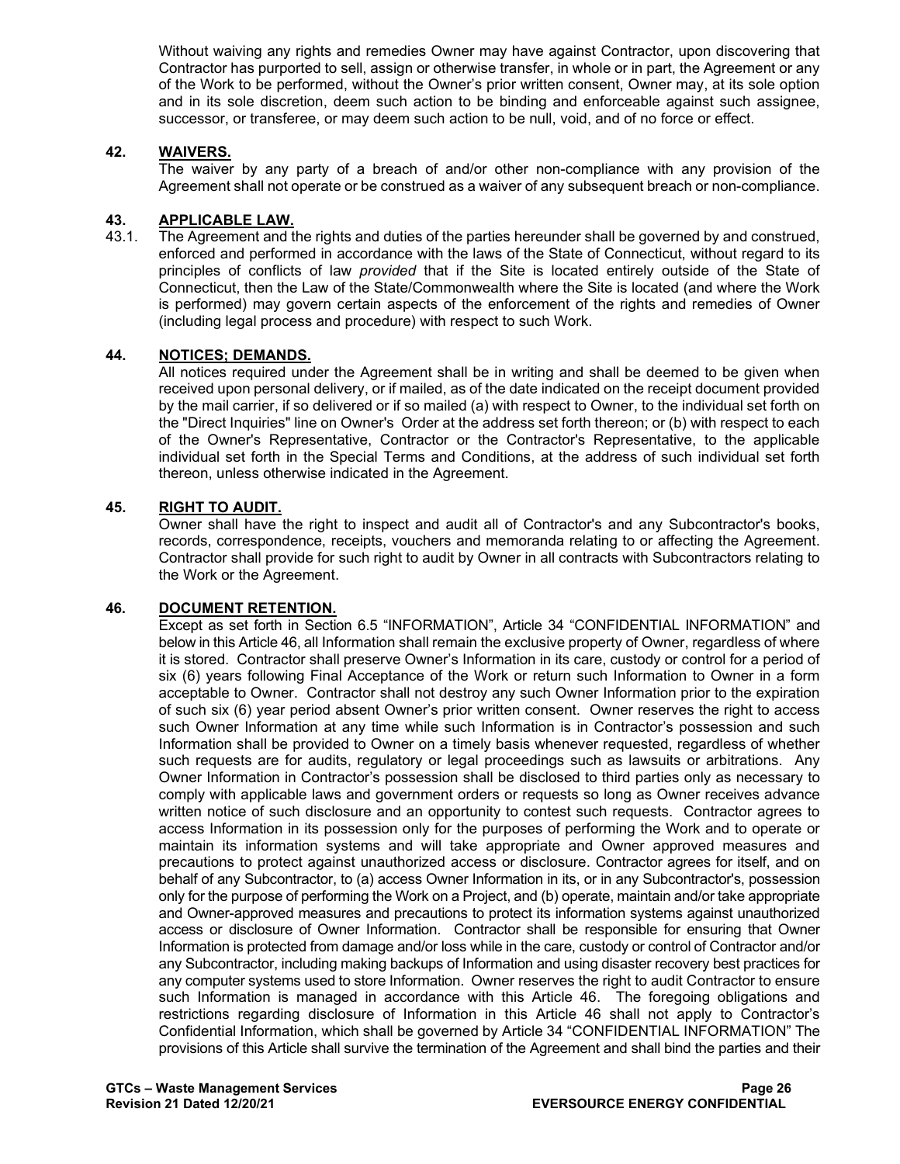Without waiving any rights and remedies Owner may have against Contractor, upon discovering that Contractor has purported to sell, assign or otherwise transfer, in whole or in part, the Agreement or any of the Work to be performed, without the Owner's prior written consent, Owner may, at its sole option and in its sole discretion, deem such action to be binding and enforceable against such assignee, successor, or transferee, or may deem such action to be null, void, and of no force or effect.

### **42. WAIVERS.**

The waiver by any party of a breach of and/or other non-compliance with any provision of the Agreement shall not operate or be construed as a waiver of any subsequent breach or non-compliance.

#### **43. APPLICABLE LAW.**

43.1. The Agreement and the rights and duties of the parties hereunder shall be governed by and construed, enforced and performed in accordance with the laws of the State of Connecticut, without regard to its principles of conflicts of law *provided* that if the Site is located entirely outside of the State of Connecticut, then the Law of the State/Commonwealth where the Site is located (and where the Work is performed) may govern certain aspects of the enforcement of the rights and remedies of Owner (including legal process and procedure) with respect to such Work.

### **44. NOTICES; DEMANDS.**

All notices required under the Agreement shall be in writing and shall be deemed to be given when received upon personal delivery, or if mailed, as of the date indicated on the receipt document provided by the mail carrier, if so delivered or if so mailed (a) with respect to Owner, to the individual set forth on the "Direct Inquiries" line on Owner's Order at the address set forth thereon; or (b) with respect to each of the Owner's Representative, Contractor or the Contractor's Representative, to the applicable individual set forth in the Special Terms and Conditions, at the address of such individual set forth thereon, unless otherwise indicated in the Agreement.

#### **45. RIGHT TO AUDIT.**

Owner shall have the right to inspect and audit all of Contractor's and any Subcontractor's books, records, correspondence, receipts, vouchers and memoranda relating to or affecting the Agreement. Contractor shall provide for such right to audit by Owner in all contracts with Subcontractors relating to the Work or the Agreement.

#### **46. DOCUMENT RETENTION.**

Except as set forth in Section 6.5 "INFORMATION", Article 34 "CONFIDENTIAL INFORMATION" and below in this Article 46, all Information shall remain the exclusive property of Owner, regardless of where it is stored. Contractor shall preserve Owner's Information in its care, custody or control for a period of six (6) years following Final Acceptance of the Work or return such Information to Owner in a form acceptable to Owner. Contractor shall not destroy any such Owner Information prior to the expiration of such six (6) year period absent Owner's prior written consent. Owner reserves the right to access such Owner Information at any time while such Information is in Contractor's possession and such Information shall be provided to Owner on a timely basis whenever requested, regardless of whether such requests are for audits, regulatory or legal proceedings such as lawsuits or arbitrations. Any Owner Information in Contractor's possession shall be disclosed to third parties only as necessary to comply with applicable laws and government orders or requests so long as Owner receives advance written notice of such disclosure and an opportunity to contest such requests. Contractor agrees to access Information in its possession only for the purposes of performing the Work and to operate or maintain its information systems and will take appropriate and Owner approved measures and precautions to protect against unauthorized access or disclosure. Contractor agrees for itself, and on behalf of any Subcontractor, to (a) access Owner Information in its, or in any Subcontractor's, possession only for the purpose of performing the Work on a Project, and (b) operate, maintain and/or take appropriate and Owner-approved measures and precautions to protect its information systems against unauthorized access or disclosure of Owner Information. Contractor shall be responsible for ensuring that Owner Information is protected from damage and/or loss while in the care, custody or control of Contractor and/or any Subcontractor, including making backups of Information and using disaster recovery best practices for any computer systems used to store Information. Owner reserves the right to audit Contractor to ensure such Information is managed in accordance with this Article 46. The foregoing obligations and restrictions regarding disclosure of Information in this Article 46 shall not apply to Contractor's Confidential Information, which shall be governed by Article 34 "CONFIDENTIAL INFORMATION" The provisions of this Article shall survive the termination of the Agreement and shall bind the parties and their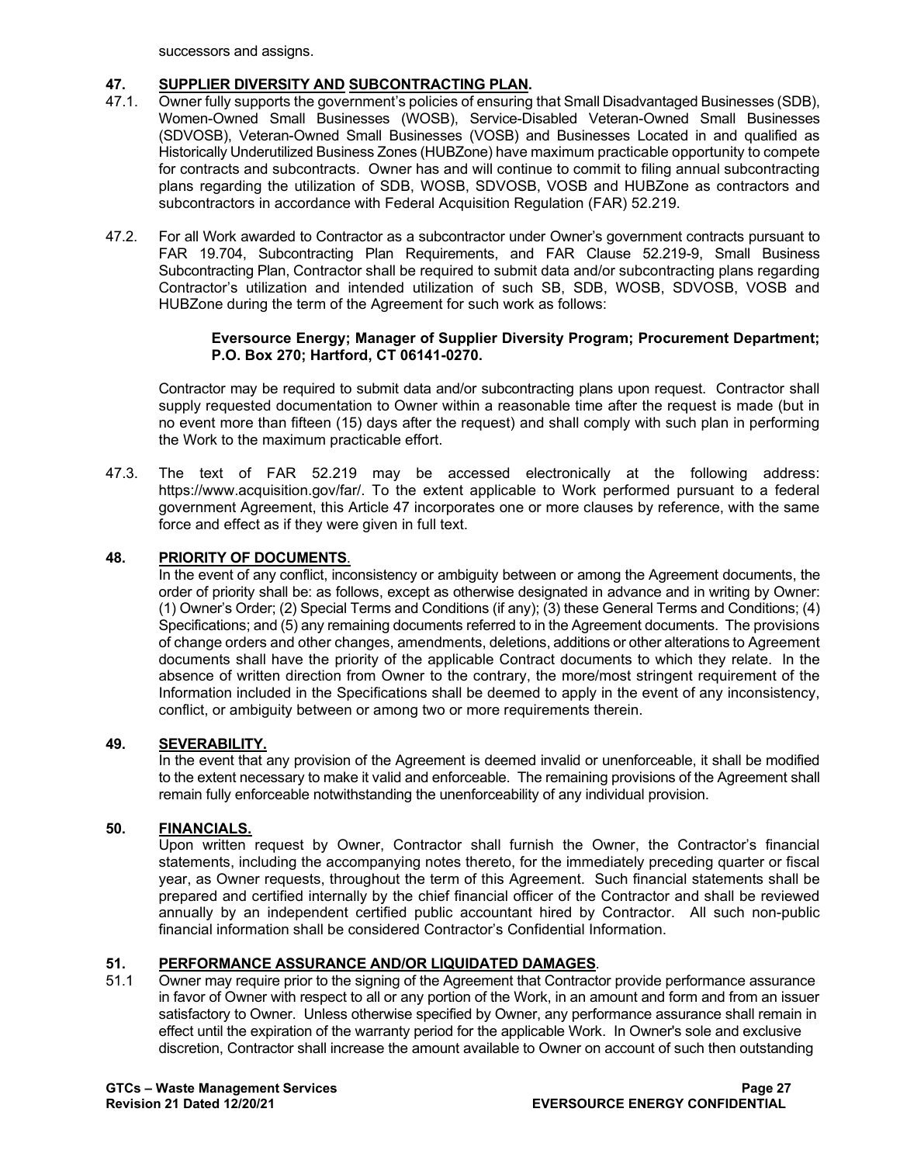successors and assigns.

## **47. SUPPLIER DIVERSITY AND SUBCONTRACTING PLAN.**

- 47.1. Owner fully supports the government's policies of ensuring that Small Disadvantaged Businesses (SDB), Women-Owned Small Businesses (WOSB), Service-Disabled Veteran-Owned Small Businesses (SDVOSB), Veteran-Owned Small Businesses (VOSB) and Businesses Located in and qualified as Historically Underutilized Business Zones (HUBZone) have maximum practicable opportunity to compete for contracts and subcontracts. Owner has and will continue to commit to filing annual subcontracting plans regarding the utilization of SDB, WOSB, SDVOSB, VOSB and HUBZone as contractors and subcontractors in accordance with Federal Acquisition Regulation (FAR) 52.219.
- 47.2. For all Work awarded to Contractor as a subcontractor under Owner's government contracts pursuant to FAR 19.704, Subcontracting Plan Requirements, and FAR Clause 52.219-9, Small Business Subcontracting Plan, Contractor shall be required to submit data and/or subcontracting plans regarding Contractor's utilization and intended utilization of such SB, SDB, WOSB, SDVOSB, VOSB and HUBZone during the term of the Agreement for such work as follows:

#### **Eversource Energy; Manager of Supplier Diversity Program; Procurement Department; P.O. Box 270; Hartford, CT 06141-0270.**

Contractor may be required to submit data and/or subcontracting plans upon request. Contractor shall supply requested documentation to Owner within a reasonable time after the request is made (but in no event more than fifteen (15) days after the request) and shall comply with such plan in performing the Work to the maximum practicable effort.

47.3. The text of FAR 52.219 may be accessed electronically at the following address: [https://www.acquisition.gov/far/.](https://www.acquisition.gov/far/) To the extent applicable to Work performed pursuant to a federal government Agreement, this Article 47 incorporates one or more clauses by reference, with the same force and effect as if they were given in full text.

## **48. PRIORITY OF DOCUMENTS**.

In the event of any conflict, inconsistency or ambiguity between or among the Agreement documents, the order of priority shall be: as follows, except as otherwise designated in advance and in writing by Owner: (1) Owner's Order; (2) Special Terms and Conditions (if any); (3) these General Terms and Conditions; (4) Specifications; and (5) any remaining documents referred to in the Agreement documents. The provisions of change orders and other changes, amendments, deletions, additions or other alterations to Agreement documents shall have the priority of the applicable Contract documents to which they relate. In the absence of written direction from Owner to the contrary, the more/most stringent requirement of the Information included in the Specifications shall be deemed to apply in the event of any inconsistency, conflict, or ambiguity between or among two or more requirements therein.

## **49. SEVERABILITY.**

In the event that any provision of the Agreement is deemed invalid or unenforceable, it shall be modified to the extent necessary to make it valid and enforceable. The remaining provisions of the Agreement shall remain fully enforceable notwithstanding the unenforceability of any individual provision.

## **50. FINANCIALS.**

Upon written request by Owner, Contractor shall furnish the Owner, the Contractor's financial statements, including the accompanying notes thereto, for the immediately preceding quarter or fiscal year, as Owner requests, throughout the term of this Agreement. Such financial statements shall be prepared and certified internally by the chief financial officer of the Contractor and shall be reviewed annually by an independent certified public accountant hired by Contractor. All such non-public financial information shall be considered Contractor's Confidential Information.

# **51. PERFORMANCE ASSURANCE AND/OR LIQUIDATED DAMAGES**.

Owner may require prior to the signing of the Agreement that Contractor provide performance assurance in favor of Owner with respect to all or any portion of the Work, in an amount and form and from an issuer satisfactory to Owner. Unless otherwise specified by Owner, any performance assurance shall remain in effect until the expiration of the warranty period for the applicable Work. In Owner's sole and exclusive discretion, Contractor shall increase the amount available to Owner on account of such then outstanding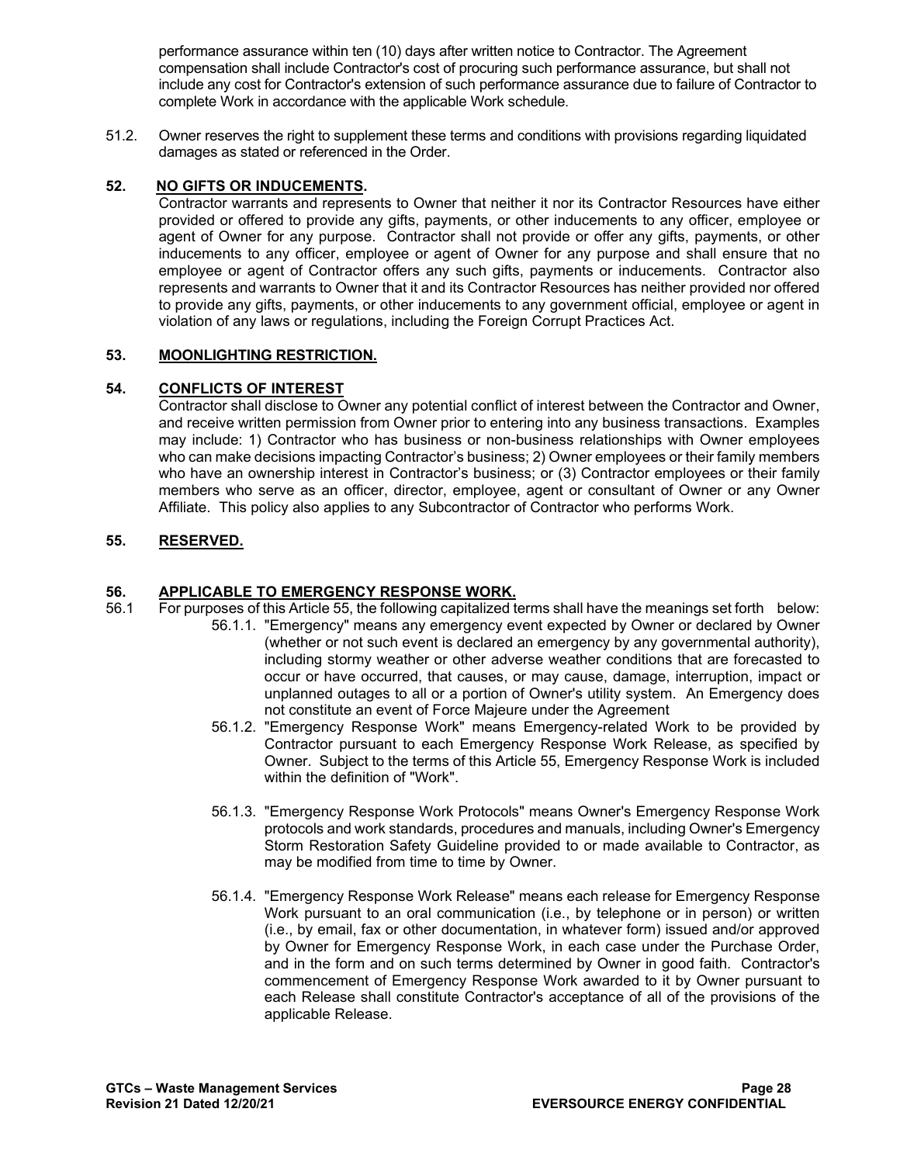performance assurance within ten (10) days after written notice to Contractor. The Agreement compensation shall include Contractor's cost of procuring such performance assurance, but shall not include any cost for Contractor's extension of such performance assurance due to failure of Contractor to complete Work in accordance with the applicable Work schedule.

51.2. Owner reserves the right to supplement these terms and conditions with provisions regarding liquidated damages as stated or referenced in the Order.

## **52. NO GIFTS OR INDUCEMENTS.**

Contractor warrants and represents to Owner that neither it nor its Contractor Resources have either provided or offered to provide any gifts, payments, or other inducements to any officer, employee or agent of Owner for any purpose. Contractor shall not provide or offer any gifts, payments, or other inducements to any officer, employee or agent of Owner for any purpose and shall ensure that no employee or agent of Contractor offers any such gifts, payments or inducements. Contractor also represents and warrants to Owner that it and its Contractor Resources has neither provided nor offered to provide any gifts, payments, or other inducements to any government official, employee or agent in violation of any laws or regulations, including the Foreign Corrupt Practices Act.

## **53. MOONLIGHTING RESTRICTION.**

## **54. CONFLICTS OF INTEREST**

Contractor shall disclose to Owner any potential conflict of interest between the Contractor and Owner, and receive written permission from Owner prior to entering into any business transactions. Examples may include: 1) Contractor who has business or non-business relationships with Owner employees who can make decisions impacting Contractor's business; 2) Owner employees or their family members who have an ownership interest in Contractor's business; or (3) Contractor employees or their family members who serve as an officer, director, employee, agent or consultant of Owner or any Owner Affiliate. This policy also applies to any Subcontractor of Contractor who performs Work.

## **55. RESERVED.**

# **56. APPLICABLE TO EMERGENCY RESPONSE WORK.**

- 56.1 For purposes of this Article 55, the following capitalized terms shall have the meanings set forth below: 56.1.1. "Emergency" means any emergency event expected by Owner or declared by Owner (whether or not such event is declared an emergency by any governmental authority), including stormy weather or other adverse weather conditions that are forecasted to occur or have occurred, that causes, or may cause, damage, interruption, impact or unplanned outages to all or a portion of Owner's utility system. An Emergency does not constitute an event of Force Majeure under the Agreement
	- 56.1.2. "Emergency Response Work" means Emergency-related Work to be provided by Contractor pursuant to each Emergency Response Work Release, as specified by Owner. Subject to the terms of this Article 55, Emergency Response Work is included within the definition of "Work".
	- 56.1.3. "Emergency Response Work Protocols" means Owner's Emergency Response Work protocols and work standards, procedures and manuals, including Owner's Emergency Storm Restoration Safety Guideline provided to or made available to Contractor, as may be modified from time to time by Owner.
	- 56.1.4. "Emergency Response Work Release" means each release for Emergency Response Work pursuant to an oral communication (i.e., by telephone or in person) or written (i.e., by email, fax or other documentation, in whatever form) issued and/or approved by Owner for Emergency Response Work, in each case under the Purchase Order, and in the form and on such terms determined by Owner in good faith. Contractor's commencement of Emergency Response Work awarded to it by Owner pursuant to each Release shall constitute Contractor's acceptance of all of the provisions of the applicable Release.